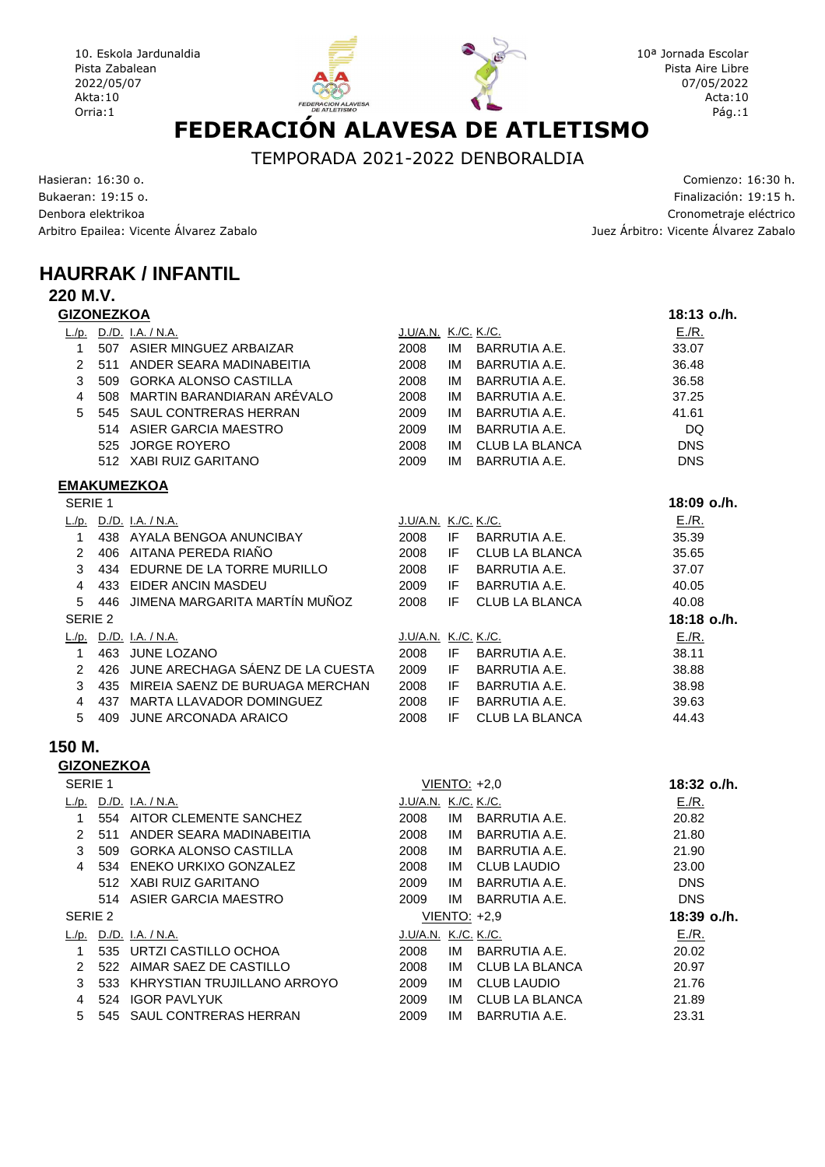10. Eskola Jardunaldia Pista Zabalean 2022/05/07 Akta:10 Orria: 1

# **EXACTÓN ALAVESA DE ATLETISMO**

10<sup>a</sup> Jornada Escolar Pista Aire Libre 07/05/2022 Acta:10 Pág.:1

TEMPORADA 2021-2022 DENBORALDIA

Hasieran: 16:30 )  \* + Denbora elektrikoa Arbitro Epailea: Vicente Álvarez Zaba

o. Comienzo: 16:30 h. lización: 19:15 h. the construction of the construction of the construction of the construction of the construction of the construction of the construction of the construction of the construction of the construction of the construction of th '212 3 ' 

## **HAURRAK / INFANTIL**

#### **220 M.V.**

| <b>GIZONEZKOA</b>  |     |                                  |                             |    |                       | 18:13 o./h. |
|--------------------|-----|----------------------------------|-----------------------------|----|-----------------------|-------------|
|                    |     | L./p. $D.P. I.A. / N.A.$         | J.U/A.N. K./C. K./C.        |    |                       | E/R.        |
| 1                  |     | 507 ASIER MINGUEZ ARBAIZAR       | 2008                        | IM | BARRUTIA A.E.         | 33.07       |
| $\overline{2}$     | 511 | ANDER SEARA MADINABEITIA         | 2008                        | IM | <b>BARRUTIA A.E.</b>  | 36.48       |
| 3                  | 509 | <b>GORKA ALONSO CASTILLA</b>     | 2008                        | IM | <b>BARRUTIA A.E.</b>  | 36.58       |
| $\overline{4}$     | 508 | MARTIN BARANDIARAN ARÉVALO       | 2008                        | IM | BARRUTIA A.E.         | 37.25       |
| 5                  |     | 545 SAUL CONTRERAS HERRAN        | 2009                        | IM | <b>BARRUTIA A.E.</b>  | 41.61       |
|                    |     | 514 ASIER GARCIA MAESTRO         | 2009                        | IM | BARRUTIA A.E.         | DQ          |
|                    | 525 | <b>JORGE ROYERO</b>              | 2008                        | IM | <b>CLUB LA BLANCA</b> | <b>DNS</b>  |
|                    |     | 512 XABI RUIZ GARITANO           | 2009                        | IM | <b>BARRUTIA A.E.</b>  | <b>DNS</b>  |
|                    |     | <b>EMAKUMEZKOA</b>               |                             |    |                       |             |
| SERIE <sub>1</sub> |     |                                  |                             |    |                       | 18:09 o./h. |
| L/p.               |     | <u>D./D. I.A. / N.A.</u>         | J.U/A.N. K./C. K./C.        |    |                       | E/R.        |
| $\mathbf{1}$       |     | 438 AYALA BENGOA ANUNCIBAY       | 2008                        | IF | BARRUTIA A.E.         | 35.39       |
| $\mathcal{P}$      |     | 406 AITANA PEREDA RIAÑO          | 2008                        | ΙF | <b>CLUB LA BLANCA</b> | 35.65       |
| 3                  |     | 434 EDURNE DE LA TORRE MURILLO   | 2008                        | IF | <b>BARRUTIA A.E.</b>  | 37.07       |
| 4                  | 433 | <b>EIDER ANCIN MASDEU</b>        | 2009                        | IF | <b>BARRUTIA A.E.</b>  | 40.05       |
| 5                  | 446 | JIMENA MARGARITA MARTÍN MUÑOZ    | 2008                        | IF | CLUB LA BLANCA        | 40.08       |
| SERIE 2            |     |                                  |                             |    |                       | 18:18 o./h. |
| L/p.               |     | D./D. I.A. / N.A.                | <u>J.U/A.N. K./C. K./C.</u> |    |                       | $E/R$ .     |
| $\mathbf{1}$       |     | 463 JUNE LOZANO                  | 2008                        | IF | BARRUTIA A.E.         | 38.11       |
| $\overline{2}$     | 426 | JUNE ARECHAGA SÁENZ DE LA CUESTA | 2009                        | IF | BARRUTIA A.E.         | 38.88       |
| 3                  | 435 | MIREIA SAENZ DE BURUAGA MERCHAN  | 2008                        | IF | BARRUTIA A.E.         | 38.98       |
| 4                  | 437 | MARTA LLAVADOR DOMINGUEZ         | 2008                        | IF | <b>BARRUTIA A.E.</b>  | 39.63       |

5 409 JUNE ARCONADA ARAICO 2008 IF CLUB LA BLANCA 44.43

#### **150 M.**

#### **GIZONEZKOA**

| SERIE <sub>1</sub> |      |                                 | 18:32 o./h.          |    |                     |             |
|--------------------|------|---------------------------------|----------------------|----|---------------------|-------------|
| L/p.               |      | D./D. I.A. / N.A.               | J.U/A.N. K./C. K./C. |    |                     | E/R.        |
|                    |      | 554 AITOR CLEMENTE SANCHEZ      | 2008                 | IM | BARRUTIA A.E.       | 20.82       |
|                    | 511  | ANDER SEARA MADINABEITIA        | 2008                 | IM | BARRUTIA A.E.       | 21.80       |
| 3                  | 509  | <b>GORKA ALONSO CASTILLA</b>    | 2008                 | IM | BARRUTIA A.E.       | 21.90       |
| 4                  | 534  | ENEKO URKIXO GONZALEZ           | 2008                 | IM | <b>CLUB LAUDIO</b>  | 23.00       |
|                    |      | 512 XABI RUIZ GARITANO          | 2009                 | IM | BARRUTIA A.E.       | <b>DNS</b>  |
|                    |      | 514 ASIER GARCIA MAESTRO        | 2009                 | IM | BARRUTIA A.E.       | <b>DNS</b>  |
| SERIE 2            |      |                                 |                      |    | <b>VIENTO: +2,9</b> | 18:39 o./h. |
| L/p.               |      | D./D. I.A. / N.A.               | J.U/A.N. K./C. K./C. |    |                     | E/R.        |
|                    |      |                                 |                      |    |                     |             |
|                    |      | 535 URTZI CASTILLO OCHOA        | 2008                 | IM | BARRUTIA A.E.       | 20.02       |
| $\mathcal{P}$      | 522. | AIMAR SAEZ DE CASTILLO          | 2008                 | IM | CLUB LA BLANCA      | 20.97       |
| 3                  |      | 533 KHRYSTIAN TRUJILLANO ARROYO | 2009                 | IM | <b>CLUB LAUDIO</b>  | 21.76       |
| 4                  | 524  | <b>IGOR PAVLYUK</b>             | 2009                 | IM | CLUB LA BLANCA      | 21.89       |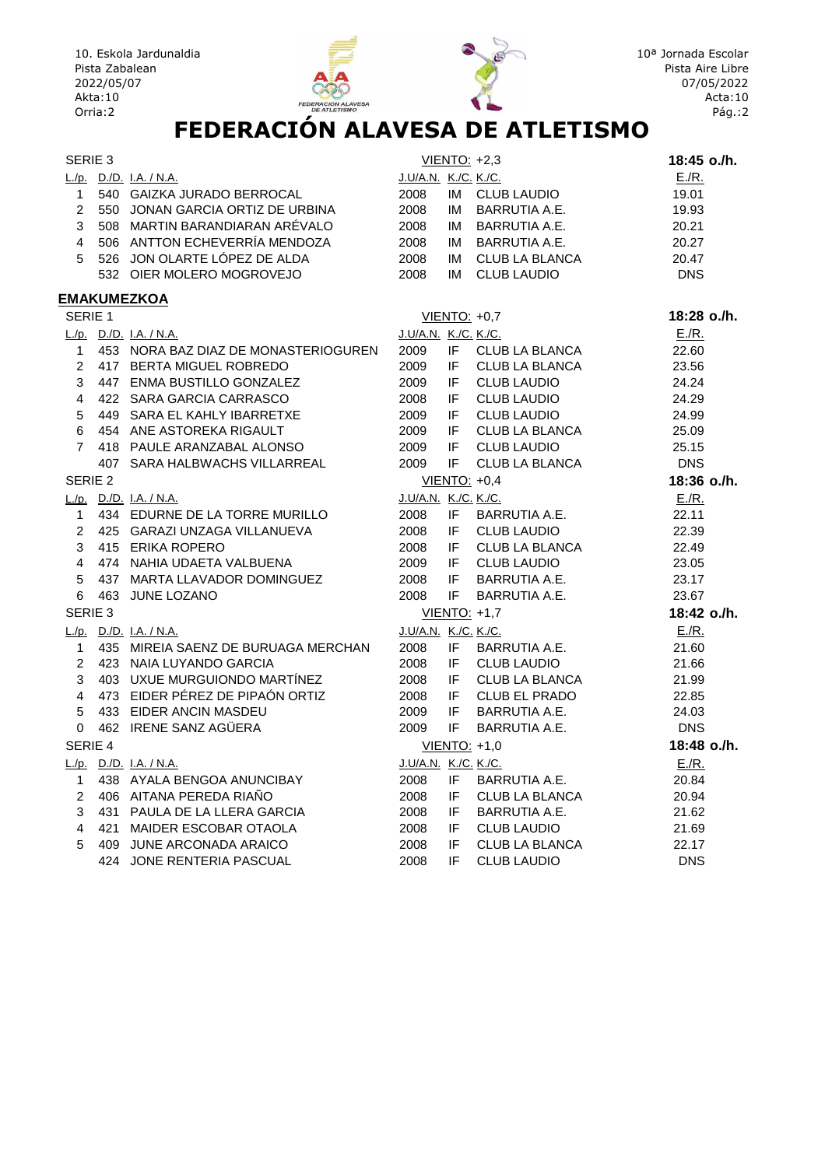



| SERIE 3        |                                      |                             |      | VIENTO: +2,3         | 18:45 o./h. |
|----------------|--------------------------------------|-----------------------------|------|----------------------|-------------|
|                | <u>L./p. D./D. I.A. / N.A.</u>       | J.U/A.N. K./C. K./C.        |      |                      | E/R.        |
| $\mathbf{1}$   | 540 GAIZKA JURADO BERROCAL           | 2008                        |      | IM CLUB LAUDIO       | 19.01       |
| $2^{\circ}$    | 550 JONAN GARCIA ORTIZ DE URBINA     | 2008                        |      | IM BARRUTIA A.E.     | 19.93       |
| 3              | 508 MARTIN BARANDIARAN ARÉVALO       | 2008                        |      | IM BARRUTIA A.E.     | 20.21       |
| $\overline{4}$ | 506 ANTTON ECHEVERRÍA MENDOZA        | 2008                        |      | IM BARRUTIA A.E.     | 20.27       |
| 5              | 526 JON OLARTE LÓPEZ DE ALDA         | 2008                        |      | IM CLUB LA BLANCA    | 20.47       |
|                | 532 OIER MOLERO MOGROVEJO            | 2008                        | IM   | <b>CLUB LAUDIO</b>   | <b>DNS</b>  |
|                | <b>EMAKUMEZKOA</b>                   |                             |      |                      |             |
| SERIE 1        |                                      |                             |      | $VIENTO: +0,7$       | 18:28 o./h. |
|                | L./p. D./D. I.A. / N.A.              | <u>J.U/A.N. K./C. K./C.</u> |      |                      | E/R.        |
| $\mathbf{1}$   | 453 NORA BAZ DIAZ DE MONASTERIOGUREN | 2009                        | IF.  | CLUB LA BLANCA       | 22.60       |
| $\overline{2}$ | 417 BERTA MIGUEL ROBREDO             | 2009                        | IF.  | CLUB LA BLANCA       | 23.56       |
| 3              | 447 ENMA BUSTILLO GONZALEZ           | 2009                        | IF.  | <b>CLUB LAUDIO</b>   | 24.24       |
| $\overline{4}$ | 422 SARA GARCIA CARRASCO             | 2008                        | IF.  | <b>CLUB LAUDIO</b>   | 24.29       |
| 5              | 449 SARA EL KAHLY IBARRETXE          | 2009                        | IF   | <b>CLUB LAUDIO</b>   | 24.99       |
| 6              | 454 ANE ASTOREKA RIGAULT             | 2009                        | IF.  | CLUB LA BLANCA       | 25.09       |
| $\overline{7}$ | 418 PAULE ARANZABAL ALONSO           | 2009                        | IF.  | <b>CLUB LAUDIO</b>   | 25.15       |
|                | 407 SARA HALBWACHS VILLARREAL        | 2009                        | IF   | CLUB LA BLANCA       | <b>DNS</b>  |
| SERIE 2        |                                      |                             |      | <b>VIENTO: +0,4</b>  | 18:36 o./h. |
|                | L./p. D./D. I.A. / N.A.              | J.U/A.N. K./C. K./C.        |      |                      | E/R.        |
| $\mathbf{1}$   | 434 EDURNE DE LA TORRE MURILLO       | 2008                        | IF   | BARRUTIA A.E.        | 22.11       |
| $\overline{2}$ | 425 GARAZI UNZAGA VILLANUEVA         | 2008                        | IF   | <b>CLUB LAUDIO</b>   | 22.39       |
| 3              | 415 ERIKA ROPERO                     | 2008                        | IF.  | CLUB LA BLANCA       | 22.49       |
| $\overline{4}$ | 474 NAHIA UDAETA VALBUENA            | 2009                        | IF - | <b>CLUB LAUDIO</b>   | 23.05       |
| 5              | 437 MARTA LLAVADOR DOMINGUEZ         | 2008                        | IF   | BARRUTIA A.E.        | 23.17       |
| 6              | 463 JUNE LOZANO                      | 2008                        | IF   | BARRUTIA A.E.        | 23.67       |
| SERIE 3        |                                      |                             |      | VIENTO: +1,7         | 18:42 o./h. |
|                | L./p. $D.P.$ I.A. / N.A.             | J.U/A.N. K./C. K./C.        |      |                      | E/R.        |
| $\mathbf{1}$   | 435 MIREIA SAENZ DE BURUAGA MERCHAN  | 2008                        | IF   | BARRUTIA A.E.        | 21.60       |
| $\overline{2}$ | 423 NAIA LUYANDO GARCIA              | 2008                        | IF.  | <b>CLUB LAUDIO</b>   | 21.66       |
| 3              | 403 UXUE MURGUIONDO MARTÍNEZ         | 2008                        | IF   | CLUB LA BLANCA       | 21.99       |
| $\overline{4}$ | 473 EIDER PÉREZ DE PIPAÓN ORTIZ      | 2008                        | IF.  | CLUB EL PRADO        | 22.85       |
| 5              | 433 EIDER ANCIN MASDEU               | 2009                        | IF.  | BARRUTIA A.E.        | 24.03       |
| 0              | 462 IRENE SANZ AGÜERA                | 2009                        | IF   | BARRUTIA A.E.        | <b>DNS</b>  |
| SERIE 4        |                                      |                             |      | VIENTO: +1,0         | 18:48 o./h. |
|                | L./p. D./D. I.A. / N.A.              | J.U/A.N. K./C. K./C.        |      |                      | E/R.        |
| 1              | 438 AYALA BENGOA ANUNCIBAY           | 2008                        | IF.  | BARRUTIA A.E.        | 20.84       |
| $\overline{2}$ | 406 AITANA PEREDA RIAÑO              | 2008                        | IF.  | CLUB LA BLANCA       | 20.94       |
| 3              | 431 PAULA DE LA LLERA GARCIA         | 2008                        | IF.  | <b>BARRUTIA A.E.</b> | 21.62       |
| 4              | 421 MAIDER ESCOBAR OTAOLA            | 2008                        | IF.  | <b>CLUB LAUDIO</b>   | 21.69       |
| 5              | 409 JUNE ARCONADA ARAICO             | 2008                        | IF.  | CLUB LA BLANCA       | 22.17       |
|                | 424 JONE RENTERIA PASCUAL            | 2008                        | IF   | <b>CLUB LAUDIO</b>   | <b>DNS</b>  |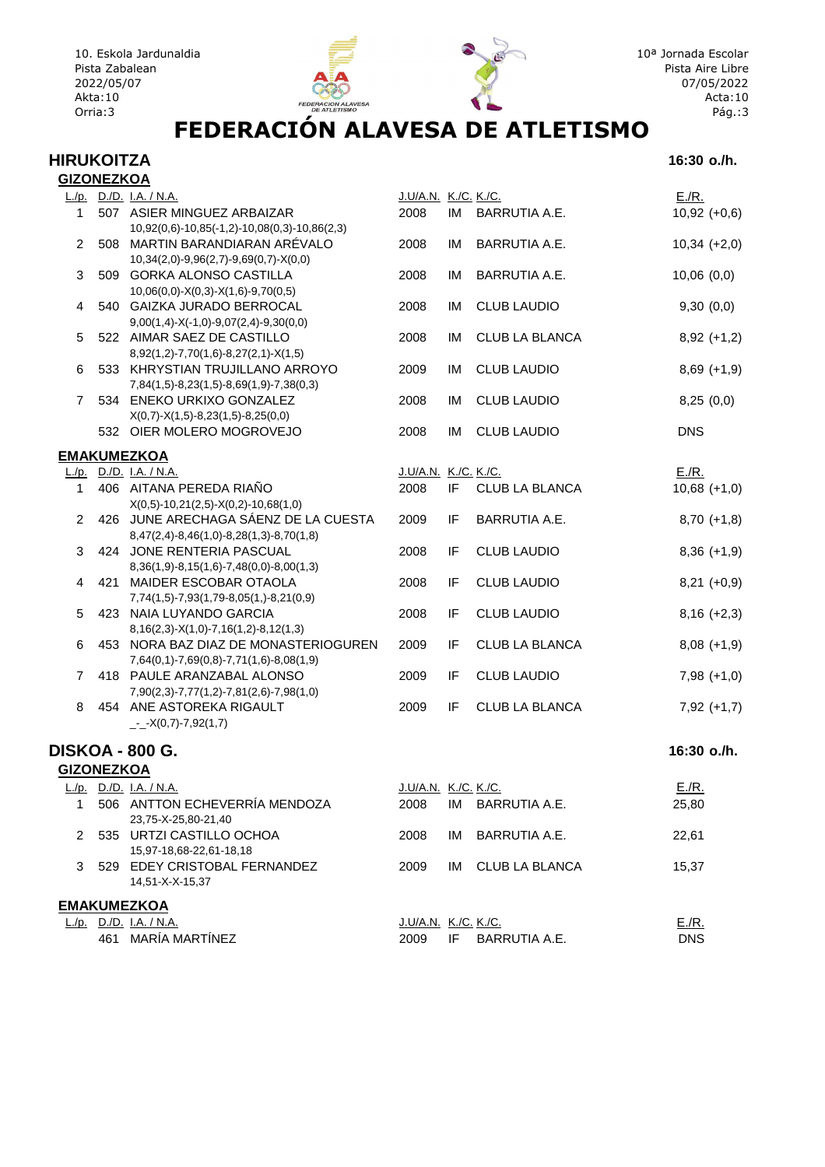



# **EXACTÓN ALAVESA DE ATLETISMO**

#### **HIRUKOITZA 16:30 o./h. GIZONEZKOA**

|  | 16:30 o./h. |  |
|--|-------------|--|
|  |             |  |

|                   | הסוובבווט |                                                                     |                             |    |                      |                |
|-------------------|-----------|---------------------------------------------------------------------|-----------------------------|----|----------------------|----------------|
|                   |           | L./p. D./D. I.A. / N.A.                                             | J.U/A.N. K./C. K./C.        |    |                      | E/R.           |
| $\mathbf 1$       |           | 507 ASIER MINGUEZ ARBAIZAR                                          | 2008                        | IM | BARRUTIA A.E.        | $10,92 (+0,6)$ |
|                   |           | 10,92(0,6)-10,85(-1,2)-10,08(0,3)-10,86(2,3)                        |                             |    |                      |                |
| $\overline{2}$    |           | 508 MARTIN BARANDIARAN ARÉVALO                                      | 2008                        | IM | BARRUTIA A.E.        | $10,34 (+2,0)$ |
|                   |           | 10,34(2,0)-9,96(2,7)-9,69(0,7)-X(0,0)                               |                             |    |                      |                |
| 3                 |           | 509 GORKA ALONSO CASTILLA                                           | 2008                        | IM | BARRUTIA A.E.        | 10,06(0,0)     |
|                   |           | $10,06(0,0) - X(0,3) - X(1,6) - 9,70(0,5)$                          |                             |    |                      |                |
| 4                 |           | 540 GAIZKA JURADO BERROCAL                                          | 2008                        | IM | <b>CLUB LAUDIO</b>   | 9,30(0,0)      |
|                   |           | $9,00(1,4) - X(-1,0) - 9,07(2,4) - 9,30(0,0)$                       |                             |    |                      |                |
| 5                 |           | 522 AIMAR SAEZ DE CASTILLO                                          | 2008                        | IM | CLUB LA BLANCA       | $8,92 (+1,2)$  |
|                   |           | $8,92(1,2)$ -7,70(1,6)-8,27(2,1)-X(1,5)                             |                             |    |                      |                |
| 6                 |           | 533 KHRYSTIAN TRUJILLANO ARROYO                                     | 2009                        | IM | <b>CLUB LAUDIO</b>   | $8,69 (+1,9)$  |
|                   |           | 7,84(1,5)-8,23(1,5)-8,69(1,9)-7,38(0,3)                             |                             |    |                      |                |
| $\overline{7}$    |           | 534 ENEKO URKIXO GONZALEZ                                           | 2008                        | IM | <b>CLUB LAUDIO</b>   | 8,25(0,0)      |
|                   |           | $X(0,7) - X(1,5) - 8,23(1,5) - 8,25(0,0)$                           |                             |    |                      |                |
|                   |           | 532 OIER MOLERO MOGROVEJO                                           | 2008                        | IM | <b>CLUB LAUDIO</b>   | <b>DNS</b>     |
|                   |           |                                                                     |                             |    |                      |                |
|                   |           | <b>EMAKUMEZKOA</b>                                                  |                             |    |                      |                |
|                   |           | L./p. D./D. I.A. / N.A.                                             | J.U/A.N. K./C. K./C.        |    |                      | E/R.           |
| 1                 |           | 406 AITANA PEREDA RIAÑO                                             | 2008                        | IF | CLUB LA BLANCA       | $10,68 (+1,0)$ |
|                   |           | $X(0,5)$ -10,21(2,5)- $X(0,2)$ -10,68(1,0)                          |                             |    |                      |                |
| $\overline{2}$    |           | 426 JUNE ARECHAGA SÁENZ DE LA CUESTA                                | 2009                        | IF | BARRUTIA A.E.        | $8,70 (+1,8)$  |
|                   |           | $8,47(2,4) - 8,46(1,0) - 8,28(1,3) - 8,70(1,8)$                     |                             |    |                      |                |
| 3                 |           | 424 JONE RENTERIA PASCUAL                                           | 2008                        | IF | <b>CLUB LAUDIO</b>   | $8,36 (+1,9)$  |
|                   |           | $8,36(1,9) - 8,15(1,6) - 7,48(0,0) - 8,00(1,3)$                     |                             |    |                      |                |
| 4                 |           | 421 MAIDER ESCOBAR OTAOLA                                           | 2008                        | IF | <b>CLUB LAUDIO</b>   | $8,21 (+0,9)$  |
|                   |           | 7,74(1,5)-7,93(1,79-8,05(1,)-8,21(0,9)                              |                             |    |                      |                |
| 5                 |           | 423 NAIA LUYANDO GARCIA                                             | 2008                        | IF | <b>CLUB LAUDIO</b>   | $8,16 (+2,3)$  |
|                   |           | $8,16(2,3) - X(1,0) - 7,16(1,2) - 8,12(1,3)$                        |                             |    |                      |                |
| 6                 |           | 453 NORA BAZ DIAZ DE MONASTERIOGUREN                                | 2009                        | IF | CLUB LA BLANCA       | $8,08 (+1,9)$  |
|                   |           | $7,64(0,1)$ -7,69(0,8)-7,71(1,6)-8,08(1,9)                          |                             |    |                      |                |
| $\overline{7}$    |           | 418 PAULE ARANZABAL ALONSO                                          | 2009                        | IF | <b>CLUB LAUDIO</b>   | $7,98 (+1,0)$  |
| 8                 |           | 7,90(2,3)-7,77(1,2)-7,81(2,6)-7,98(1,0)<br>454 ANE ASTOREKA RIGAULT |                             | IF |                      |                |
|                   |           | $_{--}$ X(0,7)-7,92(1,7)                                            | 2009                        |    | CLUB LA BLANCA       | $7,92 (+1,7)$  |
|                   |           |                                                                     |                             |    |                      |                |
|                   |           | <b>DISKOA - 800 G.</b>                                              |                             |    |                      | 16:30 o./h.    |
| <b>GIZONEZKOA</b> |           |                                                                     |                             |    |                      |                |
|                   |           | <u>L./p. D./D. I.A. / N.A.</u>                                      | <u>J.U/A.N. K./C. K./C.</u> |    |                      | E/R.           |
|                   |           | 506 ANTTON ECHEVERRÍA MENDOZA                                       |                             |    | BARRUTIA A.E.        |                |
| 1.                |           | 23,75-X-25,80-21,40                                                 | 2008                        | IM |                      | 25,80          |
| $\overline{2}$    |           | 535 URTZI CASTILLO OCHOA                                            | 2008                        | IM | <b>BARRUTIA A.E.</b> | 22,61          |
|                   |           | 15,97-18,68-22,61-18,18                                             |                             |    |                      |                |
| 3                 |           | 529 EDEY CRISTOBAL FERNANDEZ                                        | 2009                        | IM | CLUB LA BLANCA       | 15,37          |
|                   |           |                                                                     |                             |    |                      |                |

14,51-X-X-15,37

**EMAKUMEZKOA**

| .IVIANUIVIEZNUA         |                    |                  |            |
|-------------------------|--------------------|------------------|------------|
| L./p. D./D. I.A. / N.A. | J.U/A.N. K.C. K.C. |                  | $E/R$ .    |
| 461 MARÍA MARTÍNEZ      | 2009.              | IF BARRUTIA A.E. | <b>DNS</b> |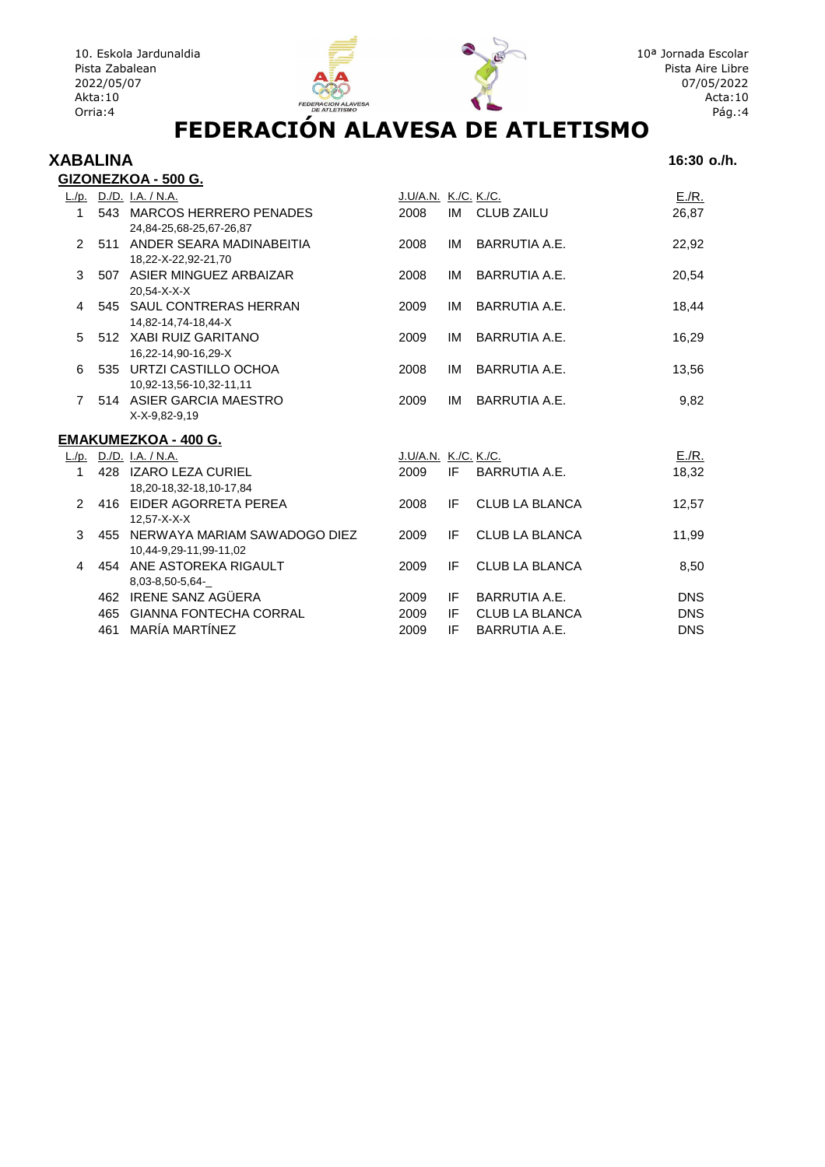



#### **XABALINA 16:30 o./h.**

|                |     | GIZONEZKOA - 500 G.                                    |                      |          |                                        |                          |
|----------------|-----|--------------------------------------------------------|----------------------|----------|----------------------------------------|--------------------------|
|                |     | L./p. D./D. I.A. / N.A.                                | J.U/A.N. K./C. K./C. |          |                                        | E/R.                     |
| 1              |     | 543 MARCOS HERRERO PENADES                             | 2008                 |          | IM CLUB ZAILU                          | 26,87                    |
|                |     | 24,84-25,68-25,67-26,87                                |                      |          |                                        |                          |
| $\overline{2}$ |     | 511 ANDER SEARA MADINABEITIA                           | 2008                 | IM       | BARRUTIA A.E.                          | 22,92                    |
|                |     | 18,22-X-22,92-21,70                                    |                      |          |                                        |                          |
| 3              |     | 507 ASIER MINGUEZ ARBAIZAR                             | 2008                 | IM       | BARRUTIA A.E.                          | 20,54                    |
|                |     | 20.54-X-X-X                                            |                      |          |                                        |                          |
| 4              |     | 545 SAUL CONTRERAS HERRAN                              | 2009                 | IM       | BARRUTIA A.E.                          | 18,44                    |
|                |     | 14,82-14,74-18,44-X                                    |                      |          |                                        |                          |
| 5              |     | 512 XABI RUIZ GARITANO                                 | 2009                 | IM       | BARRUTIA A.E.                          | 16,29                    |
| 6              |     | 16,22-14,90-16,29-X<br>535 URTZI CASTILLO OCHOA        | 2008                 |          | BARRUTIA A.E.                          |                          |
|                |     | 10,92-13,56-10,32-11,11                                |                      | IM       |                                        | 13,56                    |
| $\overline{7}$ |     | 514 ASIER GARCIA MAESTRO                               | 2009                 | IM       | BARRUTIA A.E.                          | 9,82                     |
|                |     | X-X-9,82-9,19                                          |                      |          |                                        |                          |
|                |     |                                                        |                      |          |                                        |                          |
|                |     | <b>EMAKUMEZKOA - 400 G.</b>                            |                      |          |                                        |                          |
|                |     | L./p. D./D. I.A. / N.A.                                | J.U/A.N. K./C. K./C. |          |                                        | E/R.                     |
| 1              |     | 428 IZARO LEZA CURIEL                                  | 2009                 | IF       | BARRUTIA A.E.                          | 18,32                    |
|                |     | 18,20-18,32-18,10-17,84                                |                      |          |                                        |                          |
| $\mathcal{P}$  |     | 416 EIDER AGORRETA PEREA                               | 2008                 | IF       | <b>CLUB LA BLANCA</b>                  | 12,57                    |
|                |     | 12.57-X-X-X                                            |                      |          |                                        |                          |
| 3              | 455 | NERWAYA MARIAM SAWADOGO DIEZ                           | 2009                 | IF       | <b>CLUB LA BLANCA</b>                  | 11,99                    |
|                |     | 10,44-9,29-11,99-11,02                                 |                      |          |                                        |                          |
| 4              |     | 454 ANE ASTOREKA RIGAULT                               | 2009                 | IF       | <b>CLUB LA BLANCA</b>                  | 8,50                     |
|                |     | 8.03-8.50-5.64-                                        |                      |          |                                        |                          |
|                | 465 | 462 IRENE SANZ AGÜERA<br><b>GIANNA FONTECHA CORRAL</b> | 2009<br>2009         | IF<br>IF | BARRUTIA A.E.<br><b>CLUB LA BLANCA</b> | <b>DNS</b><br><b>DNS</b> |
|                |     | MARÍA MARTÍNEZ                                         |                      |          |                                        |                          |
|                | 461 |                                                        | 2009                 | ΙF       | <b>BARRUTIA A.E.</b>                   | <b>DNS</b>               |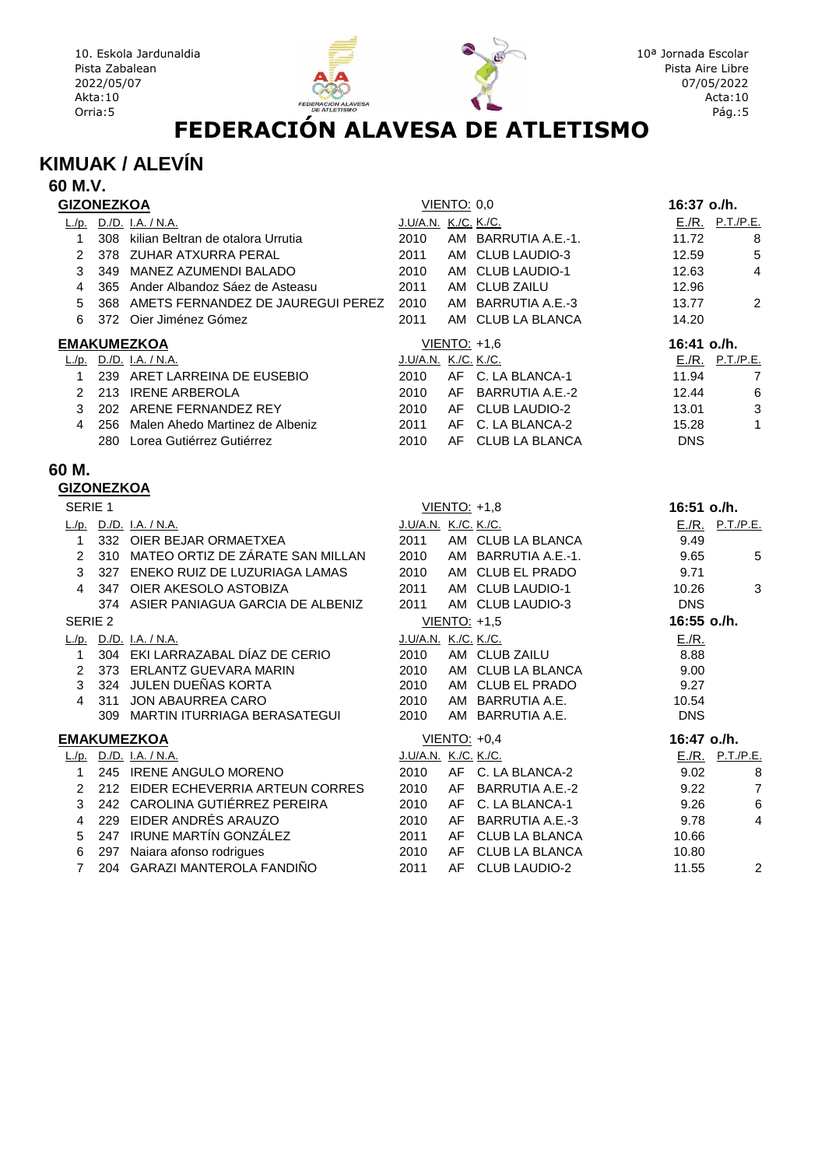

#### **KIMUAK / ALEVÍN**

| 60 M.V.                 |                                            |                      |                    |                     |             |                 |
|-------------------------|--------------------------------------------|----------------------|--------------------|---------------------|-------------|-----------------|
| <b>GIZONEZKOA</b>       |                                            |                      | <b>VIENTO: 0,0</b> |                     | 16:37 o./h. |                 |
|                         | L./p. D./D. I.A. / N.A.                    | J.U/A.N. K./C. K./C. |                    |                     |             | E./R. P.T./P.E. |
| $\mathbf{1}$            | 308 kilian Beltran de otalora Urrutia      | 2010                 |                    | AM BARRUTIA A.E.-1. | 11.72       | 8               |
| $\overline{2}$          | 378 ZUHAR ATXURRA PERAL                    | 2011                 |                    | AM CLUB LAUDIO-3    | 12.59       | 5               |
| 3                       | 349 MANEZ AZUMENDI BALADO                  | 2010                 |                    | AM CLUB LAUDIO-1    | 12.63       | 4               |
| $\overline{\mathbf{4}}$ | 365 Ander Albandoz Sáez de Asteasu         | 2011                 |                    | AM CLUB ZAILU       | 12.96       |                 |
| 5                       | 368 AMETS FERNANDEZ DE JAUREGUI PEREZ 2010 |                      |                    | AM BARRUTIA A.E.-3  | 13.77       | $\overline{2}$  |
| 6                       | 372 Oier Jiménez Gómez                     | 2011                 |                    | AM CLUB LA BLANCA   | 14.20       |                 |
|                         | <b>EMAKUMEZKOA</b>                         |                      |                    | VIENTO: +1,6        | 16:41 o./h. |                 |
|                         | L./p. D./D. I.A. / N.A.                    | J.U/A.N. K./C. K./C. |                    |                     |             | E./R. P.T./P.E. |
|                         | 1 239 ARET LARREINA DE EUSEBIO             | 2010                 |                    | AF C. LA BLANCA-1   | 11.94       | $\overline{7}$  |
|                         | 2 213 IRENE ARBEROLA                       | 2010                 |                    | AF BARRUTIA A.E.-2  | 12.44       | 6               |
|                         | 3 202 ARENE FERNANDEZ REY                  | 2010                 |                    | AF CLUB LAUDIO-2    | 13.01       | $\mathbf{3}$    |
| $\overline{4}$          | 256 Malen Ahedo Martinez de Albeniz        | 2011                 |                    | AF C. LA BLANCA-2   | 15.28       | $\mathbf{1}$    |
|                         | 280 Lorea Gutiérrez Gutiérrez              | 2010                 |                    | AF CLUB LA BLANCA   | <b>DNS</b>  |                 |
| 60 M.                   |                                            |                      |                    |                     |             |                 |
| <b>GIZONEZKOA</b>       |                                            |                      |                    |                     |             |                 |
| SERIE 1                 |                                            |                      |                    | VIENTO: +1,8        | 16:51 o./h. |                 |
|                         | L./p. D./D. I.A. / N.A.                    | J.U/A.N. K./C. K./C. |                    |                     |             | E./R. P.T./P.E. |
| $\mathbf{1}$            | 332 OIER BEJAR ORMAETXEA                   | 2011                 |                    | AM CLUB LA BLANCA   | 9.49        |                 |
|                         | 2 310 MATEO ORTIZ DE ZÁRATE SAN MILLAN     | 2010                 |                    | AM BARRUTIA A.E.-1. | 9.65        | $\sqrt{5}$      |
|                         | 3 327 ENEKO RUIZ DE LUZURIAGA LAMAS        | 2010                 |                    | AM CLUB EL PRADO    | 9.71        |                 |
| 4                       | 347 OIER AKESOLO ASTOBIZA                  | 2011                 |                    | AM CLUB LAUDIO-1    | 10.26       | 3               |
|                         | 374 ASIER PANIAGUA GARCIA DE ALBENIZ       | 2011                 |                    | AM CLUB LAUDIO-3    | <b>DNS</b>  |                 |
| SERIE <sub>2</sub>      |                                            |                      |                    | VIENTO: +1,5        | 16:55 o./h. |                 |
|                         | L./p. $D.P.$ I.A. / N.A.                   | J.U/A.N. K./C. K./C. |                    |                     | E/R.        |                 |
| 1                       | 304 EKI LARRAZABAL DÍAZ DE CERIO           | 2010                 |                    | AM CLUB ZAILU       | 8.88        |                 |
|                         | 2 373 ERLANTZ GUEVARA MARIN                | 2010                 |                    | AM CLUB LA BLANCA   | 9.00        |                 |
|                         | 3 324 JULEN DUEÑAS KORTA                   | 2010                 |                    | AM CLUB EL PRADO    | 9.27        |                 |
| $\overline{4}$          | 311 JON ABAURREA CARO                      | 2010                 |                    | AM BARRUTIA A.E.    | 10.54       |                 |
|                         | 309 MARTIN ITURRIAGA BERASATEGUI           | 2010                 |                    | AM BARRUTIA A.E.    | <b>DNS</b>  |                 |
|                         | <b>EMAKUMEZKOA</b>                         |                      |                    | VIENTO: +0,4        | 16:47 o./h. |                 |
|                         | L./p. D./D. I.A. / N.A.                    | J.U/A.N. K./C. K./C. |                    |                     |             | E./R. P.T./P.E. |
| $\mathbf{1}$            | 245 IRENE ANGULO MORENO                    | 2010                 |                    | AF C. LA BLANCA-2   | 9.02        | 8               |
|                         | 2 212 EIDER ECHEVERRIA ARTEUN CORRES       | 2010                 |                    | AF BARRUTIA A.E.-2  | 9.22        | $\overline{7}$  |
| 3                       | 242 CAROLINA GUTIÉRREZ PEREIRA             | 2010                 |                    | AF C. LA BLANCA-1   | 9.26        | $\,6\,$         |
| 4                       | 229 EIDER ANDRÉS ARAUZO                    | 2010                 |                    | AF BARRUTIA A.E.-3  | 9.78        | 4               |
| 5                       | 247 IRUNE MARTÍN GONZÁLEZ                  | 2011                 |                    | AF CLUB LA BLANCA   | 10.66       |                 |
| 6                       | 297 Naiara afonso rodrigues                | 2010                 |                    | AF CLUB LA BLANCA   | 10.80       |                 |

7 204 GARAZI MANTEROLA FANDIÑO 2011 AF CLUB LAUDIO-2 11.55 2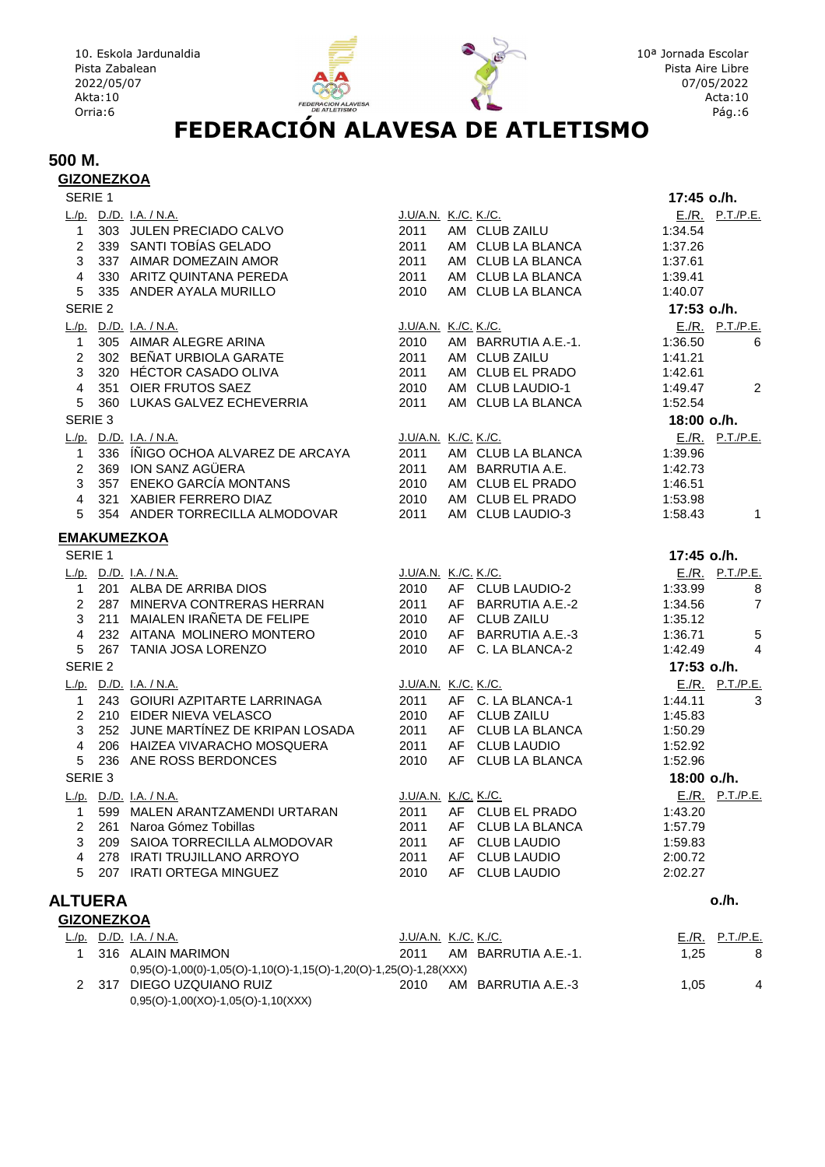

#### 10<sup>a</sup> Jornada Escolar Pista Aire Libre 07/05/2022 Acta:10 Pág.:6

#### **500 M. GIZONEZKOA**

| SERIE <sub>1</sub> |                                                                       |                             |                       | 17:45 o./h. |                 |
|--------------------|-----------------------------------------------------------------------|-----------------------------|-----------------------|-------------|-----------------|
|                    | L./p. D./D. I.A. / N.A.                                               | J.U/A.N. K./C. K./C.        |                       |             | E./R. P.T./P.E. |
|                    | 1 303 JULEN PRECIADO CALVO                                            | 2011                        | AM CLUB ZAILU         | 1:34.54     |                 |
|                    | 2 339 SANTI TOBÍAS GELADO                                             | 2011                        | AM CLUB LA BLANCA     | 1:37.26     |                 |
|                    | 3 337 AIMAR DOMEZAIN AMOR                                             | 2011                        | AM CLUB LA BLANCA     | 1:37.61     |                 |
|                    | 4 330 ARITZ QUINTANA PEREDA                                           | 2011                        | AM CLUB LA BLANCA     | 1:39.41     |                 |
|                    | 5 335 ANDER AYALA MURILLO                                             | 2010                        | AM CLUB LA BLANCA     | 1:40.07     |                 |
| SERIE 2            |                                                                       |                             |                       | 17:53 o./h. |                 |
|                    | L./p. D./D. I.A. / N.A.                                               | J.U/A.N. K./C. K./C.        |                       |             | E./R. P.T./P.E. |
| $\mathbf{1}$       | 305 AIMAR ALEGRE ARINA                                                | 2010                        | AM BARRUTIA A.E.-1.   | 1:36.50     | 6               |
|                    | 2 302 BEÑAT URBIOLA GARATE<br>3 320 HÉCTOR CASADO OLIVA               | 2011                        | AM CLUB ZAILU         | 1:41.21     |                 |
|                    |                                                                       | 2011                        | AM CLUB EL PRADO      | 1:42.61     |                 |
|                    | 4 351 OIER FRUTOS SAEZ                                                | 2010                        | AM CLUB LAUDIO-1      | 1:49.47     | 2               |
| $5 -$              | 360 LUKAS GALVEZ ECHEVERRIA                                           | 2011                        | AM CLUB LA BLANCA     | 1:52.54     |                 |
| SERIE 3            |                                                                       |                             |                       | 18:00 o./h. |                 |
|                    | L./p. D./D. I.A. / N.A.                                               | J.U/A.N. K./C. K./C.        |                       |             | E./R. P.T./P.E. |
| $\mathbf{1}$       | 336 ÍÑIGO OCHOA ALVAREZ DE ARCAYA                                     | 2011                        | AM CLUB LA BLANCA     | 1:39.96     |                 |
|                    | 2 369 ION SANZ AGÜERA                                                 | 2011                        | AM BARRUTIA A.E.      | 1:42.73     |                 |
|                    | 3 357 ENEKO GARCÍA MONTANS                                            | 2010                        | AM CLUB EL PRADO      | 1:46.51     |                 |
|                    | 4 321 XABIER FERRERO DIAZ                                             | 2010                        | AM CLUB EL PRADO      | 1:53.98     |                 |
| 5                  | 354 ANDER TORRECILLA ALMODOVAR                                        | 2011                        | AM CLUB LAUDIO-3      | 1:58.43     | $\overline{1}$  |
|                    | <b>EMAKUMEZKOA</b>                                                    |                             |                       |             |                 |
| SERIE 1            |                                                                       |                             |                       | 17:45 o./h. |                 |
|                    | L./p. D./D. I.A. / N.A.                                               | J.U/A.N. K./C. K./C.        |                       |             | E./R. P.T./P.E. |
|                    | 1 201 ALBA DE ARRIBA DIOS                                             |                             | 2010 AF CLUB LAUDIO-2 | 1:33.99     | 8               |
|                    | 2 287 MINERVA CONTRERAS HERRAN                                        | 2011                        | AF BARRUTIA A.E.-2    | 1:34.56     | $\overline{7}$  |
|                    | 3 211 MAIALEN IRAÑETA DE FELIPE                                       | 2010                        | AF CLUB ZAILU         | 1:35.12     |                 |
|                    | 4 232 AITANA MOLINERO MONTERO                                         | 2010                        | AF BARRUTIA A.E.-3    | 1:36.71     | $\sqrt{5}$      |
|                    | 5 267 TANIA JOSA LORENZO                                              | 2010                        | AF C. LA BLANCA-2     | 1:42.49     | $\overline{4}$  |
| SERIE 2            |                                                                       |                             |                       | 17:53 o./h. |                 |
|                    | L./p. D./D. I.A. / N.A.                                               | <u>J.U/A.N. K./C. K./C.</u> |                       |             | E./R. P.T./P.E. |
| $\mathbf{1}$       | 243 GOIURI AZPITARTE LARRINAGA                                        | 2011                        | AF C. LA BLANCA-1     | 1:44.11     | 3               |
|                    | 2 210 EIDER NIEVA VELASCO                                             | 2010                        | AF CLUB ZAILU         | 1:45.83     |                 |
|                    | 3 252 JUNE MARTÍNEZ DE KRIPAN LOSADA                                  | 2011                        | AF CLUB LA BLANCA     | 1:50.29     |                 |
|                    | 4 206 HAIZEA VIVARACHO MOSQUERA                                       | 2011                        | AF CLUB LAUDIO        | 1:52.92     |                 |
| 5 <sup>5</sup>     | 236 ANE ROSS BERDONCES                                                | 2010                        | AF CLUB LA BLANCA     | 1:52.96     |                 |
| SERIE 3            |                                                                       |                             |                       | 18:00 o./h. |                 |
|                    | L./p. D./D. I.A. / N.A.                                               | J.U/A.N. K./C. K./C.        |                       |             | E./R. P.T./P.E. |
|                    | 1 599 MALEN ARANTZAMENDI URTARAN                                      |                             | 2011 AF CLUB EL PRADO | 1:43.20     |                 |
|                    | 261 Naroa Gómez Tobillas                                              | 2011                        | AF CLUB LA BLANCA     | 1:57.79     |                 |
| 3                  | 209 SAIOA TORRECILLA ALMODOVAR                                        | 2011                        | AF CLUB LAUDIO        | 1:59.83     |                 |
| 4                  | 278 IRATI TRUJILLANO ARROYO                                           | 2011                        | AF CLUB LAUDIO        | 2:00.72     |                 |
| 5                  | 207 IRATI ORTEGA MINGUEZ                                              | 2010                        | AF CLUB LAUDIO        | 2:02.27     |                 |
|                    |                                                                       |                             |                       |             |                 |
| <b>ALTUERA</b>     |                                                                       |                             |                       |             | o./h.           |
| <b>GIZONEZKOA</b>  |                                                                       |                             |                       |             |                 |
|                    | L./p. D./D. I.A. / N.A.                                               | J.U/A.N. K./C. K./C.        |                       |             | E./R. P.T./P.E. |
| 1                  | 316 ALAIN MARIMON                                                     | 2011                        | AM BARRUTIA A.E.-1.   | 1,25        | 8               |
|                    | $0,95(O)$ -1,00(0)-1,05(O)-1,10(O)-1,15(O)-1,20(O)-1,25(O)-1,28(XXX)  |                             |                       |             |                 |
| 2                  | 317 DIEGO UZQUIANO RUIZ<br>$0,95(O) - 1,00(XO) - 1,05(O) - 1,10(XXX)$ | 2010                        | AM BARRUTIA A.E.-3    | 1,05        | 4               |
|                    |                                                                       |                             |                       |             |                 |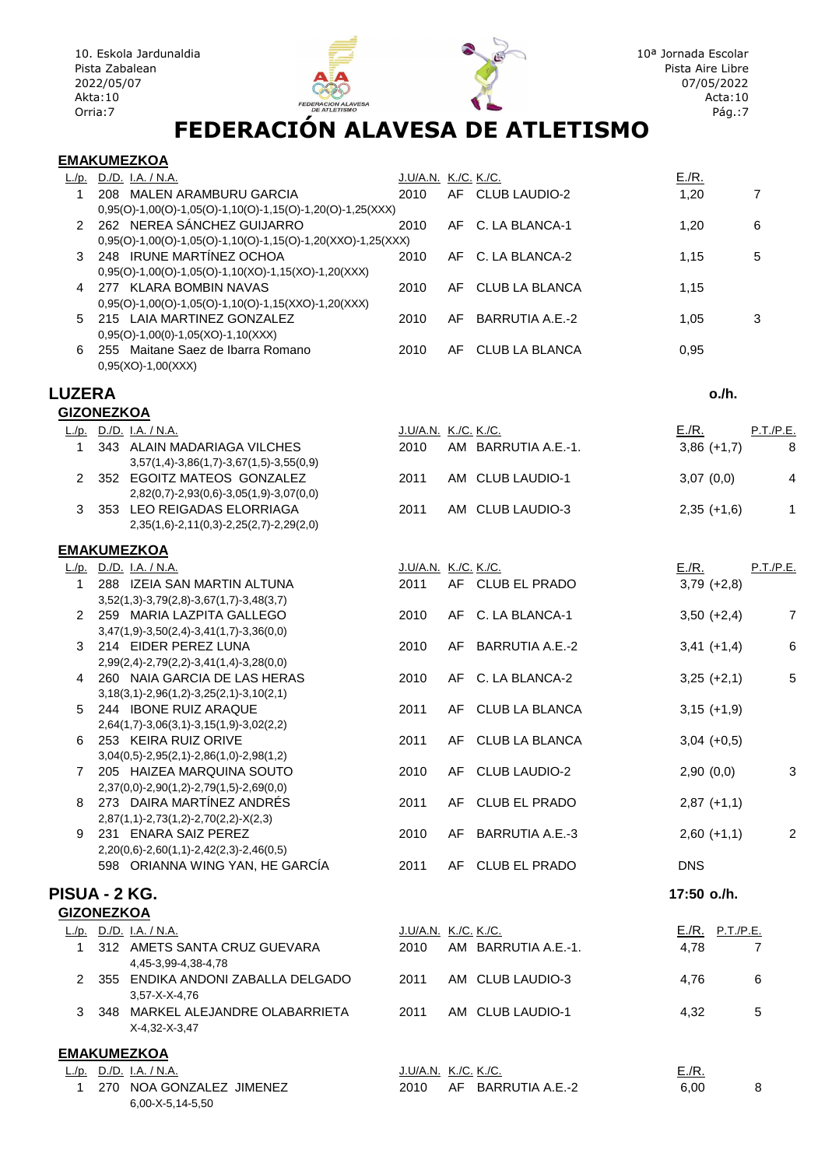

#### **EMAKUMEZKOA**

| L./p.        | D./D. I.A. / N.A.                                                                     | J.U/A.N. K./C. K./C. |     |                   | E/R. |    |
|--------------|---------------------------------------------------------------------------------------|----------------------|-----|-------------------|------|----|
|              | 208 MALEN ARAMBURU GARCIA                                                             | 2010                 |     | AF CLUB LAUDIO-2  | 1,20 | 7  |
|              | $0,95(O)$ -1,00 $(O)$ -1,05 $(O)$ -1,10 $(O)$ -1,15 $(O)$ -1,20 $(O)$ -1,25 $(XXX)$   |                      |     |                   |      |    |
|              | 2 262 NEREA SÁNCHEZ GUIJARRO                                                          | 2010                 |     | AF C. LA BLANCA-1 | 1.20 | -6 |
|              | $0,95(O)$ -1,00 $(O)$ -1,05 $(O)$ -1,10 $(O)$ -1,15 $(O)$ -1,20 $(XXO)$ -1,25 $(XXX)$ |                      |     |                   |      |    |
|              | 3 248 IRUNE MARTINEZ OCHOA                                                            | 2010                 |     | AF C. LA BLANCA-2 | 1.15 | 5  |
|              | $0,95(O)-1,00(O)-1,05(O)-1,10(XO)-1,15(XO)-1,20(XXX)$                                 |                      |     |                   |      |    |
| $\mathbf{A}$ | 277 KLARA BOMBIN NAVAS                                                                | 2010                 |     | AF CLUB LA BLANCA | 1.15 |    |
|              | $0,95(O) - 1,00(O) - 1,05(O) - 1,10(O) - 1,15(XXO) - 1,20(XXX)$                       |                      |     |                   |      |    |
|              | 5 215 LAIA MARTINEZ GONZALEZ                                                          | 2010                 | AF  | BARRUTIA A.E.-2   | 1,05 | 3  |
|              | $0,95(O)-1,00(O)-1,05(XO)-1,10(XXX)$                                                  |                      |     |                   |      |    |
| 6            | 255 Maitane Saez de Ibarra Romano                                                     | 2010                 | AF. | CLUB LA BLANCA    | 0.95 |    |
|              | $0.95(XO)-1.00(XXX)$                                                                  |                      |     |                   |      |    |

#### **LUZERA o./h.**

| <b>GIZONEZKOA</b> |                                                 |                      |                     |               |           |
|-------------------|-------------------------------------------------|----------------------|---------------------|---------------|-----------|
| L/p.              | D./D. I.A. / N.A.                               | J.U/A.N. K./C. K./C. |                     | E/R.          | P.T./P.E. |
|                   | 343 ALAIN MADARIAGA VILCHES                     | 2010                 | AM BARRUTIA A.E.-1. | $3,86 (+1,7)$ | 8         |
|                   | $3,57(1,4) - 3,86(1,7) - 3,67(1,5) - 3,55(0,9)$ |                      |                     |               |           |
|                   | 352 EGOITZ MATEOS GONZALEZ                      | 2011                 | AM CLUB LAUDIO-1    | 3,07(0,0)     | 4         |
|                   | $2,82(0,7)$ -2,93(0,6)-3,05(1,9)-3,07(0,0)      |                      |                     |               |           |
|                   | 353 LEO REIGADAS ELORRIAGA                      | 2011                 | AM CLUB LAUDIO-3    | $2,35 (+1,6)$ |           |
|                   | $2,35(1,6)$ -2,11(0,3)-2,25(2,7)-2,29(2,0)      |                      |                     |               |           |
|                   |                                                 |                      |                     |               |           |

#### **EMAKUMEZKOA**

|                   |     | L./p. $D.P.$ I.A. / N.A.                        | J.U/A.N. K./C. K./C. |     |                      | E/R.        |                 | P.T./P.E.      |
|-------------------|-----|-------------------------------------------------|----------------------|-----|----------------------|-------------|-----------------|----------------|
| 1                 |     | 288 IZEIA SAN MARTIN ALTUNA                     | 2011                 |     | AF CLUB EL PRADO     |             | $3,79 (+2,8)$   |                |
|                   |     | $3,52(1,3)-3,79(2,8)-3,67(1,7)-3,48(3,7)$       |                      |     |                      |             |                 |                |
| $\mathbf{2}$      |     | 259 MARIA LAZPITA GALLEGO                       | 2010                 |     | AF C. LA BLANCA-1    |             | $3,50 (+2,4)$   | $\overline{7}$ |
|                   |     | $3,47(1,9) - 3,50(2,4) - 3,41(1,7) - 3,36(0,0)$ |                      |     |                      |             |                 |                |
| 3                 |     | 214 EIDER PEREZ LUNA                            | 2010                 |     | AF BARRUTIA A.E.-2   |             | $3,41 (+1,4)$   | 6              |
|                   |     | $2,99(2,4)$ -2,79(2,2)-3,41(1,4)-3,28(0,0)      |                      |     |                      |             |                 |                |
| 4                 |     | 260 NAIA GARCIA DE LAS HERAS                    | 2010                 |     | AF C. LA BLANCA-2    |             | $3,25 (+2,1)$   | 5              |
|                   |     | $3,18(3,1)$ -2,96(1,2)-3,25(2,1)-3,10(2,1)      |                      |     |                      |             |                 |                |
| 5                 |     | 244 IBONE RUIZ ARAQUE                           | 2011                 |     | AF CLUB LA BLANCA    |             | $3,15 (+1,9)$   |                |
|                   |     | $2,64(1,7) - 3,06(3,1) - 3,15(1,9) - 3,02(2,2)$ |                      |     |                      |             |                 |                |
| 6                 |     | 253 KEIRA RUIZ ORIVE                            | 2011                 | AF. | CLUB LA BLANCA       |             | $3,04 (+0.5)$   |                |
|                   |     | $3,04(0,5)$ -2,95(2,1)-2,86(1,0)-2,98(1,2)      |                      |     |                      |             |                 |                |
| $\overline{7}$    |     | 205 HAIZEA MARQUINA SOUTO                       | 2010                 | AF. | <b>CLUB LAUDIO-2</b> | 2,90(0,0)   |                 | 3              |
|                   |     | $2,37(0,0)$ -2,90(1,2)-2,79(1,5)-2,69(0,0)      |                      |     |                      |             |                 |                |
| 8                 |     | 273 DAIRA MARTÍNEZ ANDRÉS                       | 2011                 |     | AF CLUB EL PRADO     |             | $2,87 (+1,1)$   |                |
|                   |     | $2,87(1,1)-2,73(1,2)-2,70(2,2)-X(2,3)$          |                      |     |                      |             |                 |                |
| 9                 |     | 231 ENARA SAIZ PEREZ                            | 2010                 |     | AF BARRUTIA A.E.-3   |             | $2,60 (+1,1)$   | 2              |
|                   |     | $2,20(0,6)-2,60(1,1)-2,42(2,3)-2,46(0,5)$       |                      |     | AF CLUB EL PRADO     |             |                 |                |
|                   |     | 598 ORIANNA WING YAN, HE GARCIA                 | 2011                 |     |                      | <b>DNS</b>  |                 |                |
| PISUA - 2 KG.     |     |                                                 |                      |     |                      | 17:50 o./h. |                 |                |
| <b>GIZONEZKOA</b> |     |                                                 |                      |     |                      |             |                 |                |
|                   |     | L./p. D./D. I.A. / N.A.                         | J.U/A.N. K./C. K./C. |     |                      |             | E./R. P.T./P.E. |                |
| 1                 |     | 312 AMETS SANTA CRUZ GUEVARA                    | 2010                 |     | AM BARRUTIA A.E.-1.  | 4,78        |                 | 7              |
|                   |     | 4,45-3,99-4,38-4,78                             |                      |     |                      |             |                 |                |
| $\mathcal{P}$     | 355 | ENDIKA ANDONI ZABALLA DELGADO                   | 2011                 |     | AM CLUB LAUDIO-3     | 4,76        |                 | 6              |
|                   |     | 3,57-X-X-4,76                                   |                      |     |                      |             |                 |                |
| 3                 |     | 348 MARKEL ALEJANDRE OLABARRIETA                | 2011                 |     | AM CLUB LAUDIO-1     | 4,32        |                 | 5              |
|                   |     | X-4,32-X-3,47                                   |                      |     |                      |             |                 |                |
|                   |     |                                                 |                      |     |                      |             |                 |                |
|                   |     |                                                 |                      |     |                      |             |                 |                |

#### **EMAKUMEZKOA**

|  | <u>L./p. D./D. I.A. / N.A.</u> | J.U/A.N. K./C. K./C. |                    | <u>E./R.</u> |  |
|--|--------------------------------|----------------------|--------------------|--------------|--|
|  | 270 NOA GONZALEZ JIMENEZ       | 2010                 | AF BARRUTIA A.E.-2 | 6.00         |  |
|  | 6,00-X-5,14-5,50               |                      |                    |              |  |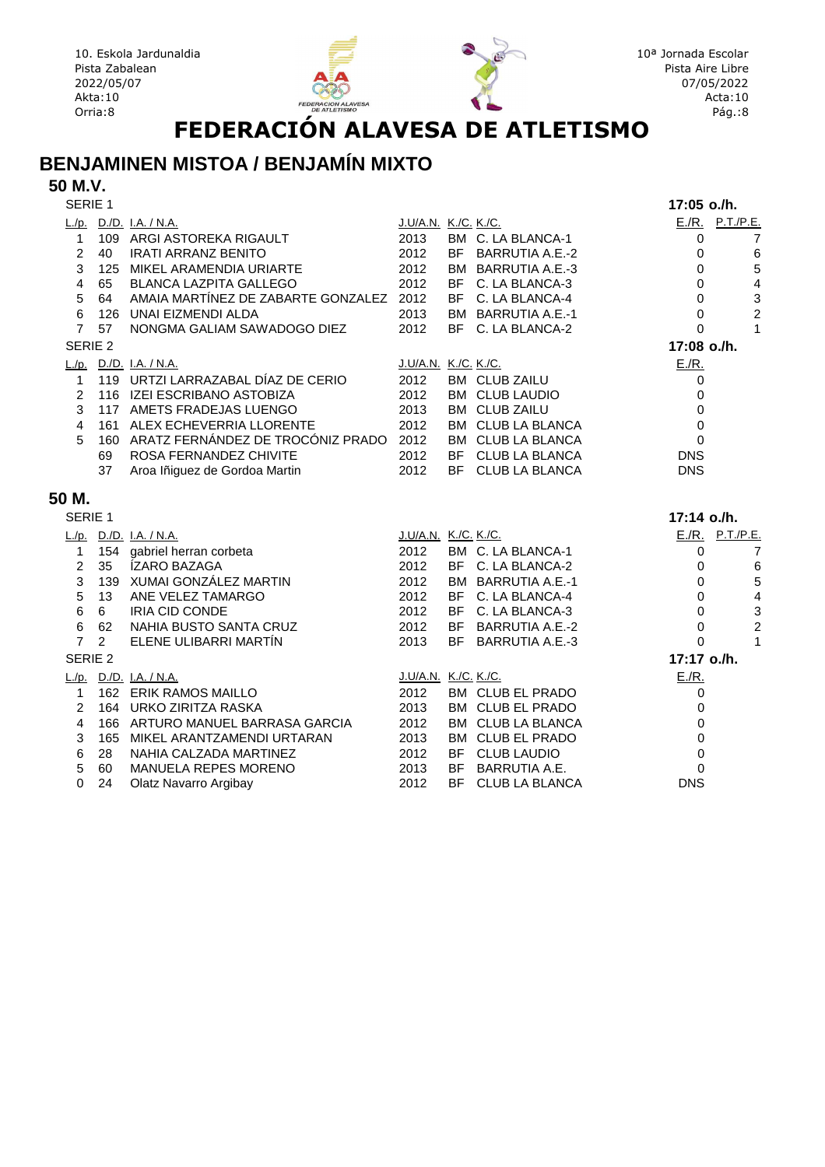



#### **BENJAMINEN MISTOA / BENJAMÍN MIXTO**

#### **50 M.V.**

| E./R. P.T./P.E.<br>L./p. D./D. I.A. / N.A.<br><u>J.U/A.N. K./C. K./C.</u><br>109 ARGI ASTOREKA RIGAULT<br>2013<br>BM C. LA BLANCA-1<br>$\mathbf{1}$<br>$\mathbf 0$<br>7<br>$\overline{2}$<br>2012<br>40<br><b>IRATI ARRANZ BENITO</b><br>BF BARRUTIA A.E.-2<br>$\,6\,$<br>0<br>$\sqrt{5}$<br>3<br>2012<br>125 MIKEL ARAMENDIA URIARTE<br>BM BARRUTIA A.E.-3<br>$\mathbf 0$<br>$\overline{\mathbf{4}}$<br>$\overline{4}$<br>65 BLANCA LAZPITA GALLEGO<br>2012<br>BF C. LA BLANCA-3<br>$\mathbf 0$<br>64 AMAIA MARTÍNEZ DE ZABARTE GONZALEZ 2012<br>3<br>5<br>0<br>BF C. LA BLANCA-4<br>$\overline{c}$<br>6<br>126 UNAI EIZMENDI ALDA<br>2013<br>BM BARRUTIA A.E.-1<br>$\mathbf 0$<br>$\mathbf{1}$<br>$\overline{7}$<br>NONGMA GALIAM SAWADOGO DIEZ<br>2012<br>BF C. LA BLANCA-2<br>57<br>0<br>17:08 o./h.<br>SERIE <sub>2</sub><br>$E/R$ .<br>L./p. D./D. I.A. / N.A.<br>J.U/A.N. K./C. K./C.<br>119 URTZI LARRAZABAL DÍAZ DE CERIO<br>2012<br><b>BM CLUB ZAILU</b><br>$\mathbf{1}$<br>0<br>2<br>116 IZEI ESCRIBANO ASTOBIZA<br>2012<br><b>BM CLUB LAUDIO</b><br>0<br>3<br>117 AMETS FRADEJAS LUENGO<br>2013<br><b>BM CLUB ZAILU</b><br>$\mathbf 0$<br>2012<br>161 ALEX ECHEVERRIA LLORENTE<br>BM CLUB LA BLANCA<br>$\mathbf 0$<br>4<br>160 ARATZ FERNÁNDEZ DE TROCÓNIZ PRADO 2012<br>5<br>BM CLUB LA BLANCA<br>0<br>ROSA FERNANDEZ CHIVITE<br>2012<br>BF CLUB LA BLANCA<br><b>DNS</b><br>69<br>2012<br>37<br>Aroa Iñiguez de Gordoa Martin<br>BF CLUB LA BLANCA<br><b>DNS</b><br>50 M.<br>SERIE 1<br>17:14 o./h.<br>E./R. P.T./P.E.<br>L./p. D./D. I.A. / N.A.<br>J.U/A.N. K./C. K./C.<br>154 gabriel herran corbeta<br>2012<br>BM C. LA BLANCA-1<br>$\overline{7}$<br>$\mathbf{1}$<br>0<br>$\overline{2}$<br>2012<br>35 <sup>7</sup><br>ÍZARO BAZAGA<br>BF C. LA BLANCA-2<br>0<br>6<br>5<br>3<br>139 XUMAI GONZÁLEZ MARTIN<br>2012<br>BM BARRUTIA A.E.-1<br>0<br>5<br>$\overline{\mathbf{4}}$<br>13 <sup>2</sup><br>ANE VELEZ TAMARGO<br>2012<br>BF C. LA BLANCA-4<br>$\Omega$<br>3<br>6<br>IRIA CID CONDE<br>2012<br>BF C. LA BLANCA-3<br>0<br>6<br>$\overline{c}$<br>6<br>2012<br>62<br>NAHIA BUSTO SANTA CRUZ<br>BF BARRUTIA A.E.-2<br>$\mathbf 0$<br>$\mathbf{1}$<br>$\overline{7}$<br>ELENE ULIBARRI MARTÍN<br>2013<br>2<br>BF BARRUTIA A.E.-3<br>$\Omega$<br>SERIE <sub>2</sub><br>17:17 o./h.<br>E.R.<br>L./p. D./D. I.A. / N.A.<br><u>J.U/A.N. K./C. K./C.</u><br>162 ERIK RAMOS MAILLO<br>2012<br>BM CLUB EL PRADO<br>$\mathbf{1}$<br>0<br>164 URKO ZIRITZA RASKA<br>2013<br>BM CLUB EL PRADO<br>2<br>$\Omega$<br>4<br>166 ARTURO MANUEL BARRASA GARCIA<br>2012<br>BM CLUB LA BLANCA<br>0<br>3<br>165 MIKEL ARANTZAMENDI URTARAN<br>2013<br>BM CLUB EL PRADO<br>$\mathbf 0$<br>6<br>$\mathbf 0$<br>NAHIA CALZADA MARTINEZ<br>2012<br>BF CLUB LAUDIO<br>28<br>5<br>MANUELA REPES MORENO<br>2013<br>BF BARRUTIA A.E.<br>$\Omega$<br>60<br>$\Omega$<br>BF CLUB LA BLANCA<br><b>DNS</b><br>24<br>2012 | SERIE 1 |                       |  | 17:05 o./h. |  |
|-------------------------------------------------------------------------------------------------------------------------------------------------------------------------------------------------------------------------------------------------------------------------------------------------------------------------------------------------------------------------------------------------------------------------------------------------------------------------------------------------------------------------------------------------------------------------------------------------------------------------------------------------------------------------------------------------------------------------------------------------------------------------------------------------------------------------------------------------------------------------------------------------------------------------------------------------------------------------------------------------------------------------------------------------------------------------------------------------------------------------------------------------------------------------------------------------------------------------------------------------------------------------------------------------------------------------------------------------------------------------------------------------------------------------------------------------------------------------------------------------------------------------------------------------------------------------------------------------------------------------------------------------------------------------------------------------------------------------------------------------------------------------------------------------------------------------------------------------------------------------------------------------------------------------------------------------------------------------------------------------------------------------------------------------------------------------------------------------------------------------------------------------------------------------------------------------------------------------------------------------------------------------------------------------------------------------------------------------------------------------------------------------------------------------------------------------------------------------------------------------------------------------------------------------------------------------------------------------------------------------------------------------------------------------------------------------------------------------------------------------------------------------------------------------------------------------------------------------------------------------------------------------------------|---------|-----------------------|--|-------------|--|
|                                                                                                                                                                                                                                                                                                                                                                                                                                                                                                                                                                                                                                                                                                                                                                                                                                                                                                                                                                                                                                                                                                                                                                                                                                                                                                                                                                                                                                                                                                                                                                                                                                                                                                                                                                                                                                                                                                                                                                                                                                                                                                                                                                                                                                                                                                                                                                                                                                                                                                                                                                                                                                                                                                                                                                                                                                                                                                             |         |                       |  |             |  |
|                                                                                                                                                                                                                                                                                                                                                                                                                                                                                                                                                                                                                                                                                                                                                                                                                                                                                                                                                                                                                                                                                                                                                                                                                                                                                                                                                                                                                                                                                                                                                                                                                                                                                                                                                                                                                                                                                                                                                                                                                                                                                                                                                                                                                                                                                                                                                                                                                                                                                                                                                                                                                                                                                                                                                                                                                                                                                                             |         |                       |  |             |  |
|                                                                                                                                                                                                                                                                                                                                                                                                                                                                                                                                                                                                                                                                                                                                                                                                                                                                                                                                                                                                                                                                                                                                                                                                                                                                                                                                                                                                                                                                                                                                                                                                                                                                                                                                                                                                                                                                                                                                                                                                                                                                                                                                                                                                                                                                                                                                                                                                                                                                                                                                                                                                                                                                                                                                                                                                                                                                                                             |         |                       |  |             |  |
|                                                                                                                                                                                                                                                                                                                                                                                                                                                                                                                                                                                                                                                                                                                                                                                                                                                                                                                                                                                                                                                                                                                                                                                                                                                                                                                                                                                                                                                                                                                                                                                                                                                                                                                                                                                                                                                                                                                                                                                                                                                                                                                                                                                                                                                                                                                                                                                                                                                                                                                                                                                                                                                                                                                                                                                                                                                                                                             |         |                       |  |             |  |
|                                                                                                                                                                                                                                                                                                                                                                                                                                                                                                                                                                                                                                                                                                                                                                                                                                                                                                                                                                                                                                                                                                                                                                                                                                                                                                                                                                                                                                                                                                                                                                                                                                                                                                                                                                                                                                                                                                                                                                                                                                                                                                                                                                                                                                                                                                                                                                                                                                                                                                                                                                                                                                                                                                                                                                                                                                                                                                             |         |                       |  |             |  |
|                                                                                                                                                                                                                                                                                                                                                                                                                                                                                                                                                                                                                                                                                                                                                                                                                                                                                                                                                                                                                                                                                                                                                                                                                                                                                                                                                                                                                                                                                                                                                                                                                                                                                                                                                                                                                                                                                                                                                                                                                                                                                                                                                                                                                                                                                                                                                                                                                                                                                                                                                                                                                                                                                                                                                                                                                                                                                                             |         |                       |  |             |  |
|                                                                                                                                                                                                                                                                                                                                                                                                                                                                                                                                                                                                                                                                                                                                                                                                                                                                                                                                                                                                                                                                                                                                                                                                                                                                                                                                                                                                                                                                                                                                                                                                                                                                                                                                                                                                                                                                                                                                                                                                                                                                                                                                                                                                                                                                                                                                                                                                                                                                                                                                                                                                                                                                                                                                                                                                                                                                                                             |         |                       |  |             |  |
|                                                                                                                                                                                                                                                                                                                                                                                                                                                                                                                                                                                                                                                                                                                                                                                                                                                                                                                                                                                                                                                                                                                                                                                                                                                                                                                                                                                                                                                                                                                                                                                                                                                                                                                                                                                                                                                                                                                                                                                                                                                                                                                                                                                                                                                                                                                                                                                                                                                                                                                                                                                                                                                                                                                                                                                                                                                                                                             |         |                       |  |             |  |
|                                                                                                                                                                                                                                                                                                                                                                                                                                                                                                                                                                                                                                                                                                                                                                                                                                                                                                                                                                                                                                                                                                                                                                                                                                                                                                                                                                                                                                                                                                                                                                                                                                                                                                                                                                                                                                                                                                                                                                                                                                                                                                                                                                                                                                                                                                                                                                                                                                                                                                                                                                                                                                                                                                                                                                                                                                                                                                             |         |                       |  |             |  |
|                                                                                                                                                                                                                                                                                                                                                                                                                                                                                                                                                                                                                                                                                                                                                                                                                                                                                                                                                                                                                                                                                                                                                                                                                                                                                                                                                                                                                                                                                                                                                                                                                                                                                                                                                                                                                                                                                                                                                                                                                                                                                                                                                                                                                                                                                                                                                                                                                                                                                                                                                                                                                                                                                                                                                                                                                                                                                                             |         |                       |  |             |  |
|                                                                                                                                                                                                                                                                                                                                                                                                                                                                                                                                                                                                                                                                                                                                                                                                                                                                                                                                                                                                                                                                                                                                                                                                                                                                                                                                                                                                                                                                                                                                                                                                                                                                                                                                                                                                                                                                                                                                                                                                                                                                                                                                                                                                                                                                                                                                                                                                                                                                                                                                                                                                                                                                                                                                                                                                                                                                                                             |         |                       |  |             |  |
|                                                                                                                                                                                                                                                                                                                                                                                                                                                                                                                                                                                                                                                                                                                                                                                                                                                                                                                                                                                                                                                                                                                                                                                                                                                                                                                                                                                                                                                                                                                                                                                                                                                                                                                                                                                                                                                                                                                                                                                                                                                                                                                                                                                                                                                                                                                                                                                                                                                                                                                                                                                                                                                                                                                                                                                                                                                                                                             |         |                       |  |             |  |
|                                                                                                                                                                                                                                                                                                                                                                                                                                                                                                                                                                                                                                                                                                                                                                                                                                                                                                                                                                                                                                                                                                                                                                                                                                                                                                                                                                                                                                                                                                                                                                                                                                                                                                                                                                                                                                                                                                                                                                                                                                                                                                                                                                                                                                                                                                                                                                                                                                                                                                                                                                                                                                                                                                                                                                                                                                                                                                             |         |                       |  |             |  |
|                                                                                                                                                                                                                                                                                                                                                                                                                                                                                                                                                                                                                                                                                                                                                                                                                                                                                                                                                                                                                                                                                                                                                                                                                                                                                                                                                                                                                                                                                                                                                                                                                                                                                                                                                                                                                                                                                                                                                                                                                                                                                                                                                                                                                                                                                                                                                                                                                                                                                                                                                                                                                                                                                                                                                                                                                                                                                                             |         |                       |  |             |  |
|                                                                                                                                                                                                                                                                                                                                                                                                                                                                                                                                                                                                                                                                                                                                                                                                                                                                                                                                                                                                                                                                                                                                                                                                                                                                                                                                                                                                                                                                                                                                                                                                                                                                                                                                                                                                                                                                                                                                                                                                                                                                                                                                                                                                                                                                                                                                                                                                                                                                                                                                                                                                                                                                                                                                                                                                                                                                                                             |         |                       |  |             |  |
|                                                                                                                                                                                                                                                                                                                                                                                                                                                                                                                                                                                                                                                                                                                                                                                                                                                                                                                                                                                                                                                                                                                                                                                                                                                                                                                                                                                                                                                                                                                                                                                                                                                                                                                                                                                                                                                                                                                                                                                                                                                                                                                                                                                                                                                                                                                                                                                                                                                                                                                                                                                                                                                                                                                                                                                                                                                                                                             |         |                       |  |             |  |
|                                                                                                                                                                                                                                                                                                                                                                                                                                                                                                                                                                                                                                                                                                                                                                                                                                                                                                                                                                                                                                                                                                                                                                                                                                                                                                                                                                                                                                                                                                                                                                                                                                                                                                                                                                                                                                                                                                                                                                                                                                                                                                                                                                                                                                                                                                                                                                                                                                                                                                                                                                                                                                                                                                                                                                                                                                                                                                             |         |                       |  |             |  |
|                                                                                                                                                                                                                                                                                                                                                                                                                                                                                                                                                                                                                                                                                                                                                                                                                                                                                                                                                                                                                                                                                                                                                                                                                                                                                                                                                                                                                                                                                                                                                                                                                                                                                                                                                                                                                                                                                                                                                                                                                                                                                                                                                                                                                                                                                                                                                                                                                                                                                                                                                                                                                                                                                                                                                                                                                                                                                                             |         |                       |  |             |  |
|                                                                                                                                                                                                                                                                                                                                                                                                                                                                                                                                                                                                                                                                                                                                                                                                                                                                                                                                                                                                                                                                                                                                                                                                                                                                                                                                                                                                                                                                                                                                                                                                                                                                                                                                                                                                                                                                                                                                                                                                                                                                                                                                                                                                                                                                                                                                                                                                                                                                                                                                                                                                                                                                                                                                                                                                                                                                                                             |         |                       |  |             |  |
|                                                                                                                                                                                                                                                                                                                                                                                                                                                                                                                                                                                                                                                                                                                                                                                                                                                                                                                                                                                                                                                                                                                                                                                                                                                                                                                                                                                                                                                                                                                                                                                                                                                                                                                                                                                                                                                                                                                                                                                                                                                                                                                                                                                                                                                                                                                                                                                                                                                                                                                                                                                                                                                                                                                                                                                                                                                                                                             |         |                       |  |             |  |
|                                                                                                                                                                                                                                                                                                                                                                                                                                                                                                                                                                                                                                                                                                                                                                                                                                                                                                                                                                                                                                                                                                                                                                                                                                                                                                                                                                                                                                                                                                                                                                                                                                                                                                                                                                                                                                                                                                                                                                                                                                                                                                                                                                                                                                                                                                                                                                                                                                                                                                                                                                                                                                                                                                                                                                                                                                                                                                             |         |                       |  |             |  |
|                                                                                                                                                                                                                                                                                                                                                                                                                                                                                                                                                                                                                                                                                                                                                                                                                                                                                                                                                                                                                                                                                                                                                                                                                                                                                                                                                                                                                                                                                                                                                                                                                                                                                                                                                                                                                                                                                                                                                                                                                                                                                                                                                                                                                                                                                                                                                                                                                                                                                                                                                                                                                                                                                                                                                                                                                                                                                                             |         |                       |  |             |  |
|                                                                                                                                                                                                                                                                                                                                                                                                                                                                                                                                                                                                                                                                                                                                                                                                                                                                                                                                                                                                                                                                                                                                                                                                                                                                                                                                                                                                                                                                                                                                                                                                                                                                                                                                                                                                                                                                                                                                                                                                                                                                                                                                                                                                                                                                                                                                                                                                                                                                                                                                                                                                                                                                                                                                                                                                                                                                                                             |         |                       |  |             |  |
|                                                                                                                                                                                                                                                                                                                                                                                                                                                                                                                                                                                                                                                                                                                                                                                                                                                                                                                                                                                                                                                                                                                                                                                                                                                                                                                                                                                                                                                                                                                                                                                                                                                                                                                                                                                                                                                                                                                                                                                                                                                                                                                                                                                                                                                                                                                                                                                                                                                                                                                                                                                                                                                                                                                                                                                                                                                                                                             |         |                       |  |             |  |
|                                                                                                                                                                                                                                                                                                                                                                                                                                                                                                                                                                                                                                                                                                                                                                                                                                                                                                                                                                                                                                                                                                                                                                                                                                                                                                                                                                                                                                                                                                                                                                                                                                                                                                                                                                                                                                                                                                                                                                                                                                                                                                                                                                                                                                                                                                                                                                                                                                                                                                                                                                                                                                                                                                                                                                                                                                                                                                             |         |                       |  |             |  |
|                                                                                                                                                                                                                                                                                                                                                                                                                                                                                                                                                                                                                                                                                                                                                                                                                                                                                                                                                                                                                                                                                                                                                                                                                                                                                                                                                                                                                                                                                                                                                                                                                                                                                                                                                                                                                                                                                                                                                                                                                                                                                                                                                                                                                                                                                                                                                                                                                                                                                                                                                                                                                                                                                                                                                                                                                                                                                                             |         |                       |  |             |  |
|                                                                                                                                                                                                                                                                                                                                                                                                                                                                                                                                                                                                                                                                                                                                                                                                                                                                                                                                                                                                                                                                                                                                                                                                                                                                                                                                                                                                                                                                                                                                                                                                                                                                                                                                                                                                                                                                                                                                                                                                                                                                                                                                                                                                                                                                                                                                                                                                                                                                                                                                                                                                                                                                                                                                                                                                                                                                                                             |         |                       |  |             |  |
|                                                                                                                                                                                                                                                                                                                                                                                                                                                                                                                                                                                                                                                                                                                                                                                                                                                                                                                                                                                                                                                                                                                                                                                                                                                                                                                                                                                                                                                                                                                                                                                                                                                                                                                                                                                                                                                                                                                                                                                                                                                                                                                                                                                                                                                                                                                                                                                                                                                                                                                                                                                                                                                                                                                                                                                                                                                                                                             |         |                       |  |             |  |
|                                                                                                                                                                                                                                                                                                                                                                                                                                                                                                                                                                                                                                                                                                                                                                                                                                                                                                                                                                                                                                                                                                                                                                                                                                                                                                                                                                                                                                                                                                                                                                                                                                                                                                                                                                                                                                                                                                                                                                                                                                                                                                                                                                                                                                                                                                                                                                                                                                                                                                                                                                                                                                                                                                                                                                                                                                                                                                             |         |                       |  |             |  |
|                                                                                                                                                                                                                                                                                                                                                                                                                                                                                                                                                                                                                                                                                                                                                                                                                                                                                                                                                                                                                                                                                                                                                                                                                                                                                                                                                                                                                                                                                                                                                                                                                                                                                                                                                                                                                                                                                                                                                                                                                                                                                                                                                                                                                                                                                                                                                                                                                                                                                                                                                                                                                                                                                                                                                                                                                                                                                                             |         |                       |  |             |  |
|                                                                                                                                                                                                                                                                                                                                                                                                                                                                                                                                                                                                                                                                                                                                                                                                                                                                                                                                                                                                                                                                                                                                                                                                                                                                                                                                                                                                                                                                                                                                                                                                                                                                                                                                                                                                                                                                                                                                                                                                                                                                                                                                                                                                                                                                                                                                                                                                                                                                                                                                                                                                                                                                                                                                                                                                                                                                                                             |         |                       |  |             |  |
|                                                                                                                                                                                                                                                                                                                                                                                                                                                                                                                                                                                                                                                                                                                                                                                                                                                                                                                                                                                                                                                                                                                                                                                                                                                                                                                                                                                                                                                                                                                                                                                                                                                                                                                                                                                                                                                                                                                                                                                                                                                                                                                                                                                                                                                                                                                                                                                                                                                                                                                                                                                                                                                                                                                                                                                                                                                                                                             |         |                       |  |             |  |
|                                                                                                                                                                                                                                                                                                                                                                                                                                                                                                                                                                                                                                                                                                                                                                                                                                                                                                                                                                                                                                                                                                                                                                                                                                                                                                                                                                                                                                                                                                                                                                                                                                                                                                                                                                                                                                                                                                                                                                                                                                                                                                                                                                                                                                                                                                                                                                                                                                                                                                                                                                                                                                                                                                                                                                                                                                                                                                             |         |                       |  |             |  |
|                                                                                                                                                                                                                                                                                                                                                                                                                                                                                                                                                                                                                                                                                                                                                                                                                                                                                                                                                                                                                                                                                                                                                                                                                                                                                                                                                                                                                                                                                                                                                                                                                                                                                                                                                                                                                                                                                                                                                                                                                                                                                                                                                                                                                                                                                                                                                                                                                                                                                                                                                                                                                                                                                                                                                                                                                                                                                                             |         |                       |  |             |  |
|                                                                                                                                                                                                                                                                                                                                                                                                                                                                                                                                                                                                                                                                                                                                                                                                                                                                                                                                                                                                                                                                                                                                                                                                                                                                                                                                                                                                                                                                                                                                                                                                                                                                                                                                                                                                                                                                                                                                                                                                                                                                                                                                                                                                                                                                                                                                                                                                                                                                                                                                                                                                                                                                                                                                                                                                                                                                                                             |         |                       |  |             |  |
|                                                                                                                                                                                                                                                                                                                                                                                                                                                                                                                                                                                                                                                                                                                                                                                                                                                                                                                                                                                                                                                                                                                                                                                                                                                                                                                                                                                                                                                                                                                                                                                                                                                                                                                                                                                                                                                                                                                                                                                                                                                                                                                                                                                                                                                                                                                                                                                                                                                                                                                                                                                                                                                                                                                                                                                                                                                                                                             |         | Olatz Navarro Argibay |  |             |  |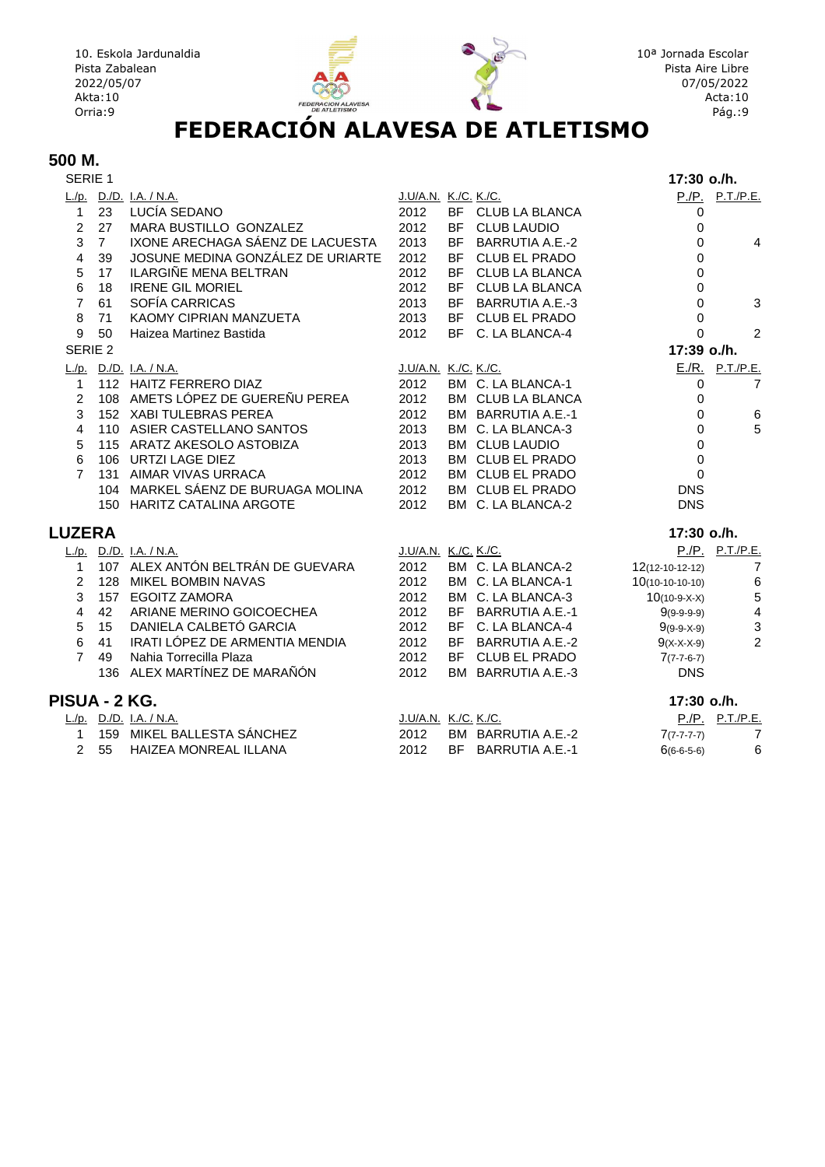

## **500 M.**<br>**SERIE 1**

| SERIE 1            |                |                                    |                      |           |                        | 17:30 o./h.        |                         |
|--------------------|----------------|------------------------------------|----------------------|-----------|------------------------|--------------------|-------------------------|
|                    |                | L./p. D./D. I.A. / N.A.            | J.U/A.N. K./C. K./C. |           |                        |                    | P./P. P.T./P.E.         |
| $\mathbf{1}$       | 23             | LUCÍA SEDANO                       | 2012                 |           | BF CLUB LA BLANCA      | 0                  |                         |
| $\overline{2}$     | 27             | MARA BUSTILLO GONZALEZ             | 2012                 |           | BF CLUB LAUDIO         | 0                  |                         |
| 3                  | $\overline{7}$ | IXONE ARECHAGA SÁENZ DE LACUESTA   | 2013                 | <b>BF</b> | <b>BARRUTIA A.E.-2</b> | 0                  | 4                       |
| $\overline{4}$     | 39             | JOSUNE MEDINA GONZÁLEZ DE URIARTE  | 2012                 |           | BF CLUB EL PRADO       | 0                  |                         |
| 5                  | 17             | <b>ILARGIÑE MENA BELTRAN</b>       | 2012                 |           | BF CLUB LA BLANCA      | 0                  |                         |
| 6                  | 18             | <b>IRENE GIL MORIEL</b>            | 2012                 |           | BF CLUB LA BLANCA      | 0                  |                         |
| $\overline{7}$     | 61             | SOFÍA CARRICAS                     | 2013                 | <b>BF</b> | <b>BARRUTIA A.E.-3</b> | 0                  | 3                       |
| 8                  | 71             | KAOMY CIPRIAN MANZUETA             | 2013                 |           | BF CLUB EL PRADO       | 0                  |                         |
| 9                  | 50             | Haizea Martinez Bastida            | 2012                 |           | BF C. LA BLANCA-4      | 0                  | 2                       |
| SERIE <sub>2</sub> |                |                                    |                      |           |                        | 17:39 o./h.        |                         |
|                    |                | L./p. D./D. I.A. / N.A.            | J.U/A.N. K./C. K./C. |           |                        |                    | E./R. P.T./P.E.         |
| $\mathbf{1}$       |                | 112 HAITZ FERRERO DIAZ             | 2012                 |           | BM C. LA BLANCA-1      | 0                  | $\overline{7}$          |
| $\overline{2}$     |                | 108 AMETS LÓPEZ DE GUEREÑU PEREA   | 2012                 |           | BM CLUB LA BLANCA      | 0                  |                         |
| 3                  |                | 152 XABI TULEBRAS PEREA            | 2012                 |           | BM BARRUTIA A.E.-1     | 0                  | $\,6$                   |
| 4                  |                | 110 ASIER CASTELLANO SANTOS        | 2013                 |           | BM C. LA BLANCA-3      | 0                  | 5                       |
| 5                  |                | 115 ARATZ AKESOLO ASTOBIZA         | 2013                 |           | <b>BM CLUB LAUDIO</b>  | 0                  |                         |
| 6                  |                | 106 URTZI LAGE DIEZ                | 2013                 |           | BM CLUB EL PRADO       | 0                  |                         |
| $\overline{7}$     |                | 131 AIMAR VIVAS URRACA             | 2012                 |           | BM CLUB EL PRADO       | 0                  |                         |
|                    |                | 104 MARKEL SÁENZ DE BURUAGA MOLINA | 2012                 |           | BM CLUB EL PRADO       | <b>DNS</b>         |                         |
|                    |                | 150 HARITZ CATALINA ARGOTE         | 2012                 |           | BM C. LA BLANCA-2      | <b>DNS</b>         |                         |
| <b>LUZERA</b>      |                |                                    |                      |           |                        | 17:30 o./h.        |                         |
|                    |                | L./p. D./D. I.A. / N.A.            | J.U/A.N. K./C. K./C. |           |                        |                    | P./P. P.T./P.E.         |
| $\mathbf 1$        |                | 107 ALEX ANTÓN BELTRÁN DE GUEVARA  | 2012                 |           | BM C. LA BLANCA-2      | $12(12-10-12-12)$  | $\overline{7}$          |
| 2                  | 128            | <b>MIKEL BOMBIN NAVAS</b>          | 2012                 |           | BM C. LA BLANCA-1      | $10(10-10-10-10)$  | 6                       |
| 3                  | 157            | <b>EGOITZ ZAMORA</b>               | 2012                 |           | BM C. LA BLANCA-3      | $10(10-9-X-X)$     | $\overline{5}$          |
| 4                  | 42             | ARIANE MERINO GOICOECHEA           | 2012                 |           | BF BARRUTIA A.E.-1     | $9(9-9-9-9)$       | $\overline{\mathbf{4}}$ |
| 5                  | 15             | DANIELA CALBETÓ GARCIA             | 2012                 |           | BF C. LA BLANCA-4      | $9(9-9-X-9)$       | 3                       |
| 6                  | 41             | IRATI LÓPEZ DE ARMENTIA MENDIA     | 2012                 |           | BF BARRUTIA A.E.-2     | $9(X-X-X-9)$       | $\overline{2}$          |
| $\overline{7}$     | 49             | Nahia Torrecilla Plaza             | 2012                 |           | BF CLUB EL PRADO       | $7(7-7-6-7)$       |                         |
|                    |                | 136 ALEX MARTÍNEZ DE MARAÑÓN       | 2012                 |           | BM BARRUTIA A.E.-3     | <b>DNS</b>         |                         |
| PISUA - 2 KG.      |                |                                    |                      |           |                        | 17:30 o./h.        |                         |
|                    |                | L./p. D./D. I.A. / N.A.            | J.U/A.N. K./C. K./C. |           |                        |                    | P./P. P.T./P.E.         |
| $\mathbf{1}$       |                | 159 MIKEL BALLESTA SÁNCHEZ         | 2012                 |           | BM BARRUTIA A.E.-2     | $7(7 - 7 - 7 - 7)$ | $\overline{7}$          |
| $\overline{2}$     | 55             | HAIZEA MONREAL ILLANA              | 2012                 | <b>BF</b> | <b>BARRUTIA A.E.-1</b> | $6(6-6-5-6)$       | 6                       |
|                    |                |                                    |                      |           |                        |                    |                         |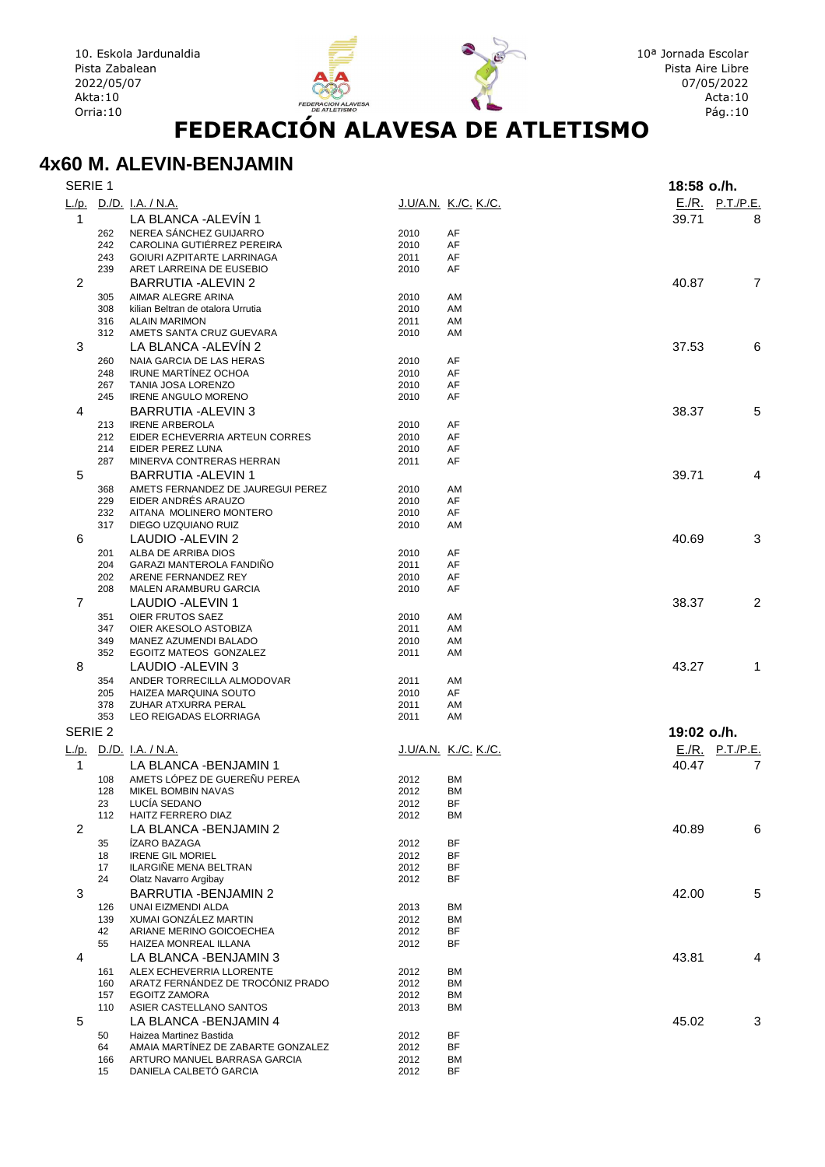

FEDER

#### **4x60 M. ALEVIN-BENJAMIN**

| SERIE 1            |            |                                                               |              |                             | 18:58 o./h.            |   |
|--------------------|------------|---------------------------------------------------------------|--------------|-----------------------------|------------------------|---|
|                    |            | L./p. D./D. I.A. / N.A.                                       |              | <u>J.U/A.N. K./C. K./C.</u> | $E./R.$ P.T./P.E.      |   |
| $\mathbf{1}$       |            | LA BLANCA - ALEVÍN 1                                          |              |                             | 39.71                  | 8 |
|                    | 262        | NEREA SÁNCHEZ GUIJARRO                                        | 2010         | AF                          |                        |   |
|                    | 242        | CAROLINA GUTIÉRREZ PEREIRA                                    | 2010         | AF                          |                        |   |
|                    | 243        | GOIURI AZPITARTE LARRINAGA                                    | 2011         | AF                          |                        |   |
|                    | 239        | ARET LARREINA DE EUSEBIO                                      | 2010         | AF                          |                        |   |
| $\overline{2}$     |            | BARRUTIA - ALEVIN 2                                           |              |                             | 40.87                  | 7 |
|                    | 305        | AIMAR ALEGRE ARINA                                            | 2010         | AM                          |                        |   |
|                    | 308        | kilian Beltran de otalora Urrutia                             | 2010         | AM                          |                        |   |
|                    | 316<br>312 | <b>ALAIN MARIMON</b><br>AMETS SANTA CRUZ GUEVARA              | 2011<br>2010 | AM<br>AM                    |                        |   |
| 3                  |            | LA BLANCA - ALEVÍN 2                                          |              |                             | 37.53                  | 6 |
|                    | 260        | NAIA GARCIA DE LAS HERAS                                      | 2010         | AF                          |                        |   |
|                    | 248        | <b>IRUNE MARTÍNEZ OCHOA</b>                                   | 2010         | AF                          |                        |   |
|                    | 267        | <b>TANIA JOSA LORENZO</b>                                     | 2010         | AF                          |                        |   |
|                    | 245        | <b>IRENE ANGULO MORENO</b>                                    | 2010         | AF                          |                        |   |
| 4                  |            | BARRUTIA - ALEVIN 3                                           |              |                             | 38.37                  | 5 |
|                    | 213        | <b>IRENE ARBEROLA</b>                                         | 2010         | AF                          |                        |   |
|                    | 212        | EIDER ECHEVERRIA ARTEUN CORRES                                | 2010         | AF                          |                        |   |
|                    | 214        | EIDER PEREZ LUNA                                              | 2010         | AF                          |                        |   |
|                    | 287        | MINERVA CONTRERAS HERRAN                                      | 2011         | AF                          |                        |   |
| 5                  |            | <b>BARRUTIA - ALEVIN 1</b>                                    |              |                             | 39.71                  | 4 |
|                    | 368        | AMETS FERNANDEZ DE JAUREGUI PEREZ                             | 2010         | AM                          |                        |   |
|                    | 229        | EIDER ANDRÉS ARAUZO                                           | 2010         | AF                          |                        |   |
|                    | 232<br>317 | AITANA MOLINERO MONTERO<br>DIEGO UZQUIANO RUIZ                | 2010<br>2010 | AF<br>AM                    |                        |   |
| 6                  |            | LAUDIO - ALEVIN 2                                             |              |                             | 40.69                  | 3 |
|                    | 201        | ALBA DE ARRIBA DIOS                                           | 2010         | AF                          |                        |   |
|                    | 204        | <b>GARAZI MANTEROLA FANDINO</b>                               | 2011         | AF                          |                        |   |
|                    | 202        | ARENE FERNANDEZ REY                                           | 2010         | AF                          |                        |   |
|                    | 208        | <b>MALEN ARAMBURU GARCIA</b>                                  | 2010         | AF                          |                        |   |
| $\overline{7}$     |            | LAUDIO - ALEVIN 1                                             |              |                             | 38.37                  | 2 |
|                    | 351        | OIER FRUTOS SAEZ                                              | 2010         | AM                          |                        |   |
|                    | 347        | OIER AKESOLO ASTOBIZA                                         | 2011         | AM                          |                        |   |
|                    | 349        | MANEZ AZUMENDI BALADO                                         | 2010         | AM                          |                        |   |
|                    | 352        | EGOITZ MATEOS GONZALEZ                                        | 2011         | AM                          |                        |   |
| 8                  |            | LAUDIO - ALEVIN 3                                             |              |                             | 43.27                  | 1 |
|                    | 354        | ANDER TORRECILLA ALMODOVAR                                    | 2011         | AM                          |                        |   |
|                    | 205        | HAIZEA MARQUINA SOUTO                                         | 2010         | AF                          |                        |   |
|                    | 378<br>353 | ZUHAR ATXURRA PERAL<br>LEO REIGADAS ELORRIAGA                 | 2011<br>2011 | AM<br>AM                    |                        |   |
|                    |            |                                                               |              |                             |                        |   |
| SERIE <sub>2</sub> |            |                                                               |              |                             | 19:02 o./h.            |   |
|                    |            | L./p. D./D. I.A. / N.A.                                       |              | <u>J.U/A.N. K./C. K./C.</u> | <u>E./R. P.T./P.E.</u> |   |
| $\mathbf{1}$       |            | LA BLANCA - BENJAMIN 1                                        |              |                             | 40.47                  | 7 |
|                    | 108        | AMETS LÓPEZ DE GUEREÑU PEREA                                  | 2012         | <b>BM</b>                   |                        |   |
|                    | 128        | MIKEL BOMBIN NAVAS                                            | 2012         | <b>BM</b>                   |                        |   |
|                    | 23         | LUCÍA SEDANO                                                  | 2012         | BF                          |                        |   |
|                    | 112        | HAITZ FERRERO DIAZ                                            | 2012         | <b>BM</b>                   |                        |   |
| $\overline{2}$     |            | LA BLANCA -BENJAMIN 2                                         |              |                             | 40.89                  | 6 |
|                    | 35<br>18   | <b>ÍZARO BAZAGA</b><br><b>IRENE GIL MORIEL</b>                | 2012<br>2012 | BF<br>BF                    |                        |   |
|                    | 17         | ILARGIÑE MENA BELTRAN                                         | 2012         | BF                          |                        |   |
|                    | 24         | Olatz Navarro Argibay                                         | 2012         | BF                          |                        |   |
| 3                  |            | <b>BARRUTIA - BENJAMIN 2</b>                                  |              |                             | 42.00                  | 5 |
|                    | 126        | UNAI EIZMENDI ALDA                                            | 2013         | ВM                          |                        |   |
|                    | 139        | XUMAI GONZÁLEZ MARTIN                                         | 2012         | BM                          |                        |   |
|                    | 42         | ARIANE MERINO GOICOECHEA                                      | 2012         | BF                          |                        |   |
|                    | 55         | HAIZEA MONREAL ILLANA                                         | 2012         | ΒF                          |                        |   |
| 4                  |            | LA BLANCA - BENJAMIN 3                                        |              |                             | 43.81                  | 4 |
|                    | 161        | ALEX ECHEVERRIA LLORENTE                                      | 2012         | BM                          |                        |   |
|                    | 160        | ARATZ FERNÁNDEZ DE TROCÓNIZ PRADO                             | 2012         | BM                          |                        |   |
|                    | 157        | <b>EGOITZ ZAMORA</b>                                          | 2012         | ВM                          |                        |   |
|                    | 110        | ASIER CASTELLANO SANTOS                                       | 2013         | ВM                          |                        | 3 |
| 5                  |            | LA BLANCA - BENJAMIN 4                                        |              |                             | 45.02                  |   |
|                    | 50<br>64   | Haizea Martinez Bastida<br>AMAIA MARTÍNEZ DE ZABARTE GONZALEZ | 2012<br>2012 | BF<br>BF                    |                        |   |
|                    | 166        | ARTURO MANUEL BARRASA GARCIA                                  | 2012         | ВM                          |                        |   |
|                    | 15         | DANIELA CALBETO GARCIA                                        | 2012         | BF                          |                        |   |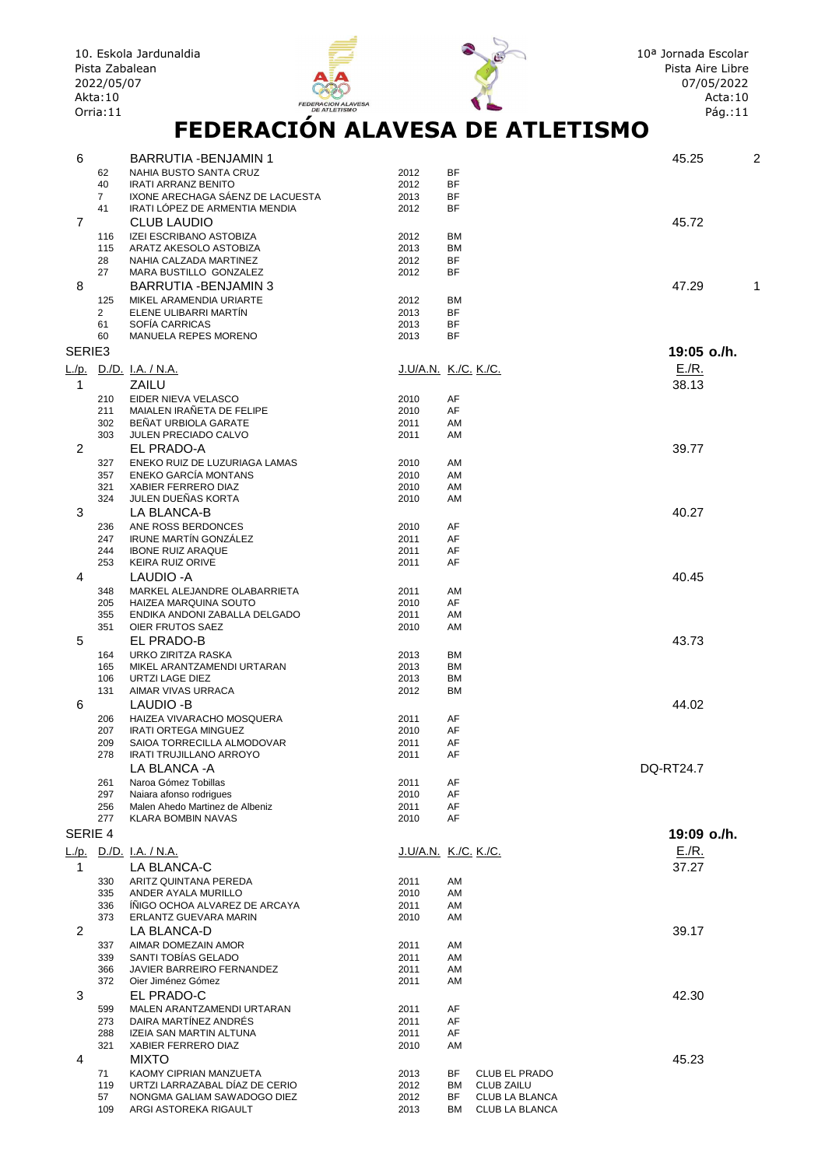|                | Pista Zabalean<br>2022/05/07<br>Akta: 10<br>Orria:11 | 10. Eskola Jardunaldia<br><b>FEDERACION ALAVESA</b><br><b>DE ATLETISMO</b><br>FEDERACIÓN ALAVESA DE ATLETISMO |                             |                        |                      | 10 <sup>a</sup> Jornada Escolar<br>Pista Aire Libre<br>07/05/2022<br>Acta: 10<br>Pág.:11 |   |
|----------------|------------------------------------------------------|---------------------------------------------------------------------------------------------------------------|-----------------------------|------------------------|----------------------|------------------------------------------------------------------------------------------|---|
| 6              |                                                      | BARRUTIA - BENJAMIN 1                                                                                         |                             |                        |                      | 45.25                                                                                    | 2 |
|                | 62                                                   | NAHIA BUSTO SANTA CRUZ                                                                                        | 2012                        | <b>BF</b>              |                      |                                                                                          |   |
|                | 40                                                   | <b>IRATI ARRANZ BENITO</b>                                                                                    | 2012                        | <b>BF</b>              |                      |                                                                                          |   |
|                | $\overline{7}$<br>41                                 | IXONE ARECHAGA SÁENZ DE LACUESTA<br>IRATI LÓPEZ DE ARMENTIA MENDIA                                            | 2013<br>2012                | BF<br>ΒF               |                      |                                                                                          |   |
| $\overline{7}$ |                                                      | <b>CLUB LAUDIO</b>                                                                                            |                             |                        |                      | 45.72                                                                                    |   |
|                | 116                                                  | IZEI ESCRIBANO ASTOBIZA                                                                                       | 2012                        | <b>BM</b>              |                      |                                                                                          |   |
|                | 115                                                  | ARATZ AKESOLO ASTOBIZA                                                                                        | 2013                        | <b>BM</b><br><b>BF</b> |                      |                                                                                          |   |
|                | 28<br>27                                             | NAHIA CALZADA MARTINEZ<br>MARA BUSTILLO GONZALEZ                                                              | 2012<br>2012                | <b>BF</b>              |                      |                                                                                          |   |
| 8              |                                                      | <b>BARRUTIA - BENJAMIN 3</b>                                                                                  |                             |                        |                      | 47.29                                                                                    |   |
|                | 125                                                  | MIKEL ARAMENDIA URIARTE                                                                                       | 2012                        | BM                     |                      |                                                                                          |   |
|                | $\overline{2}$<br>61                                 | ELENE ULIBARRI MARTÍN<br>SOFÍA CARRICAS                                                                       | 2013<br>2013                | <b>BF</b><br><b>BF</b> |                      |                                                                                          |   |
|                | 60                                                   | MANUELA REPES MORENO                                                                                          | 2013                        | <b>BF</b>              |                      |                                                                                          |   |
| SERIE3         |                                                      |                                                                                                               |                             |                        |                      | 19:05 o./h.                                                                              |   |
| L./p.          |                                                      | <u>D./D. I.A. / N.A.</u>                                                                                      | <u>J.U/A.N. K./C. K./C.</u> |                        |                      | $E/R$ .                                                                                  |   |
| 1              |                                                      | ZAILU                                                                                                         |                             |                        |                      | 38.13                                                                                    |   |
|                | 210                                                  | EIDER NIEVA VELASCO                                                                                           | 2010                        | AF                     |                      |                                                                                          |   |
|                | 211<br>302                                           | MAIALEN IRAÑETA DE FELIPE<br>BEÑAT URBIOLA GARATE                                                             | 2010<br>2011                | AF<br>AM               |                      |                                                                                          |   |
|                | 303                                                  | JULEN PRECIADO CALVO                                                                                          | 2011                        | AM                     |                      |                                                                                          |   |
| 2              |                                                      | EL PRADO-A                                                                                                    |                             |                        |                      | 39.77                                                                                    |   |
|                | 327<br>357                                           | ENEKO RUIZ DE LUZURIAGA LAMAS<br><b>ENEKO GARCÍA MONTANS</b>                                                  | 2010<br>2010                | AM<br>AM               |                      |                                                                                          |   |
|                | 321                                                  | XABIER FERRERO DIAZ                                                                                           | 2010                        | AM                     |                      |                                                                                          |   |
|                | 324                                                  | JULEN DUEÑAS KORTA                                                                                            | 2010                        | AM                     |                      |                                                                                          |   |
| 3              |                                                      | LA BLANCA-B<br>ANE ROSS BERDONCES                                                                             |                             | AF                     |                      | 40.27                                                                                    |   |
|                | 236<br>247                                           | IRUNE MARTÍN GONZÁLEZ                                                                                         | 2010<br>2011                | AF                     |                      |                                                                                          |   |
|                | 244                                                  | <b>IBONE RUIZ ARAQUE</b>                                                                                      | 2011                        | AF                     |                      |                                                                                          |   |
|                | 253                                                  | <b>KEIRA RUIZ ORIVE</b>                                                                                       | 2011                        | AF                     |                      | 40.45                                                                                    |   |
| 4              | 348                                                  | LAUDIO - A<br>MARKEL ALEJANDRE OLABARRIETA                                                                    | 2011                        | AM                     |                      |                                                                                          |   |
|                | 205                                                  | HAIZEA MARQUINA SOUTO                                                                                         | 2010                        | AF                     |                      |                                                                                          |   |
|                | 355                                                  | ENDIKA ANDONI ZABALLA DELGADO<br>OIER FRUTOS SAEZ                                                             | 2011                        | AM                     |                      |                                                                                          |   |
| 5              | 351                                                  | EL PRADO-B                                                                                                    | 2010                        | AM                     |                      | 43.73                                                                                    |   |
|                |                                                      | 164 URKO ZIRITZA RASKA                                                                                        | 2013                        | BM                     |                      |                                                                                          |   |
|                | 165                                                  | MIKEL ARANTZAMENDI URTARAN                                                                                    | 2013                        | ВM                     |                      |                                                                                          |   |
|                | 106<br>131                                           | URTZI LAGE DIEZ<br>AIMAR VIVAS URRACA                                                                         | 2013<br>2012                | ВM<br>ВM               |                      |                                                                                          |   |
| 6              |                                                      | LAUDIO -B                                                                                                     |                             |                        |                      | 44.02                                                                                    |   |
|                | 206                                                  | HAIZEA VIVARACHO MOSQUERA                                                                                     | 2011                        | AF                     |                      |                                                                                          |   |
|                | 207<br>209                                           | <b>IRATI ORTEGA MINGUEZ</b><br>SAIOA TORRECILLA ALMODOVAR                                                     | 2010<br>2011                | AF<br>AF               |                      |                                                                                          |   |
|                | 278                                                  | <b>IRATI TRUJILLANO ARROYO</b>                                                                                | 2011                        | AF                     |                      |                                                                                          |   |
|                |                                                      | LA BLANCA - A                                                                                                 |                             |                        |                      | <b>DQ-RT24.7</b>                                                                         |   |
|                | 261<br>297                                           | Naroa Gómez Tobillas<br>Naiara afonso rodrigues                                                               | 2011<br>2010                | AF<br>AF               |                      |                                                                                          |   |
|                | 256                                                  | Malen Ahedo Martinez de Albeniz                                                                               | 2011                        | AF                     |                      |                                                                                          |   |
|                | 277                                                  | <b>KLARA BOMBIN NAVAS</b>                                                                                     | 2010                        | AF                     |                      |                                                                                          |   |
| SERIE 4        |                                                      |                                                                                                               |                             |                        |                      | 19:09 o./h.                                                                              |   |
|                |                                                      | <u>L./p. D./D. I.A. / N.A.</u>                                                                                | <u>J.U/A.N. K./C. K./C.</u> |                        |                      | E/R.                                                                                     |   |
| $\mathbf 1$    |                                                      | <b>LA BLANCA-C</b>                                                                                            |                             |                        |                      | 37.27                                                                                    |   |
|                | 330<br>335                                           | ARITZ QUINTANA PEREDA<br>ANDER AYALA MURILLO                                                                  | 2011<br>2010                | AM<br>AM               |                      |                                                                                          |   |
|                | 336                                                  | INIGO OCHOA ALVAREZ DE ARCAYA                                                                                 | 2011                        | AM                     |                      |                                                                                          |   |
|                | 373                                                  | ERLANTZ GUEVARA MARIN                                                                                         | 2010                        | AM                     |                      |                                                                                          |   |
| $\overline{2}$ | 337                                                  | LA BLANCA-D<br>AIMAR DOMEZAIN AMOR                                                                            | 2011                        | AM                     |                      | 39.17                                                                                    |   |
|                | 339                                                  | SANTI TOBÍAS GELADO                                                                                           | 2011                        | AM                     |                      |                                                                                          |   |
|                | 366                                                  | JAVIER BARREIRO FERNANDEZ                                                                                     | 2011                        | AM                     |                      |                                                                                          |   |
|                | 372                                                  | Oier Jiménez Gómez                                                                                            | 2011                        | AM                     |                      |                                                                                          |   |
| 3              | 599                                                  | EL PRADO-C<br>MALEN ARANTZAMENDI URTARAN                                                                      | 2011                        | AF                     |                      | 42.30                                                                                    |   |
|                | 273                                                  | DAIRA MARTÍNEZ ANDRÉS                                                                                         | 2011                        | AF                     |                      |                                                                                          |   |
|                | 288                                                  | IZEIA SAN MARTIN ALTUNA                                                                                       | 2011                        | AF                     |                      |                                                                                          |   |
| 4              | 321                                                  | XABIER FERRERO DIAZ<br><b>MIXTO</b>                                                                           | 2010                        | AM                     |                      | 45.23                                                                                    |   |
|                | 71                                                   | KAOMY CIPRIAN MANZUETA                                                                                        | 2013                        | BF                     | <b>CLUB EL PRADO</b> |                                                                                          |   |
|                | 119                                                  | URTZI LARRAZABAL DÍAZ DE CERIO                                                                                | 2012                        | ВM                     | <b>CLUB ZAILU</b>    |                                                                                          |   |
|                | 57                                                   | NONGMA GALIAM SAWADOGO DIEZ                                                                                   | 2012                        | BF                     | CLUB LA BLANCA       |                                                                                          |   |

109 ARGI ASTOREKA RIGAULT 2013 BM CLUB LA BLANCA